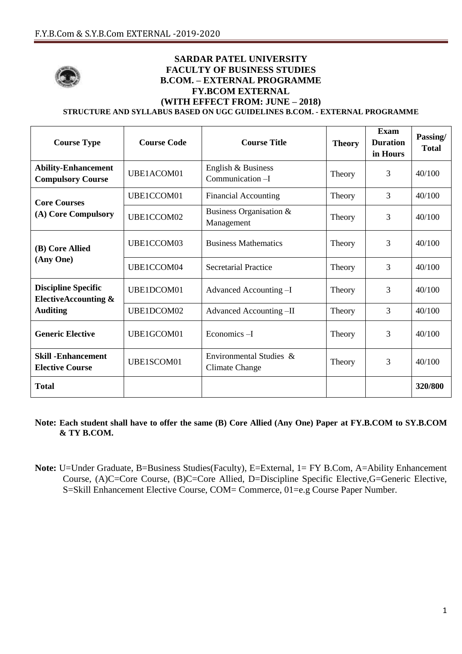

## **SARDAR PATEL UNIVERSITY FACULTY OF BUSINESS STUDIES B.COM. – EXTERNAL PROGRAMME FY.BCOM EXTERNAL (WITH EFFECT FROM: JUNE – 2018)**

**STRUCTURE AND SYLLABUS BASED ON UGC GUIDELINES B.COM. - EXTERNAL PROGRAMME**

| <b>Course Type</b>                                     | <b>Course Code</b> | <b>Course Title</b>                       | <b>Theory</b> | <b>Exam</b><br><b>Duration</b><br>in Hours | Passing/<br><b>Total</b> |
|--------------------------------------------------------|--------------------|-------------------------------------------|---------------|--------------------------------------------|--------------------------|
| <b>Ability-Enhancement</b><br><b>Compulsory Course</b> | UBE1ACOM01         | English & Business<br>Communication -I    | Theory        | 3                                          | 40/100                   |
| <b>Core Courses</b>                                    | UBE1CCOM01         | <b>Financial Accounting</b>               | Theory        | 3                                          | 40/100                   |
| (A) Core Compulsory                                    | UBE1CCOM02         | Business Organisation &<br>Management     | Theory        | 3                                          | 40/100                   |
| (B) Core Allied                                        | UBE1CCOM03         | <b>Business Mathematics</b>               | Theory        | 3                                          | 40/100                   |
| (Any One)                                              | UBE1CCOM04         | <b>Secretarial Practice</b>               | Theory        | 3                                          | 40/100                   |
| <b>Discipline Specific</b><br>ElectiveAccounting &     | UBE1DCOM01         | Advanced Accounting -I                    | Theory        | 3                                          | 40/100                   |
| <b>Auditing</b>                                        | UBE1DCOM02         | Advanced Accounting -II                   | Theory        | 3                                          | 40/100                   |
| <b>Generic Elective</b>                                | UBE1GCOM01         | Economics-I                               | Theory        | 3                                          | 40/100                   |
| <b>Skill - Enhancement</b><br><b>Elective Course</b>   | UBE1SCOM01         | Environmental Studies &<br>Climate Change | Theory        | 3                                          | 40/100                   |
| <b>Total</b>                                           |                    |                                           |               |                                            | 320/800                  |

- **Note: Each student shall have to offer the same (B) Core Allied (Any One) Paper at FY.B.COM to SY.B.COM & TY B.COM.**
- **Note:** U=Under Graduate, B=Business Studies(Faculty), E=External, 1= FY B.Com, A=Ability Enhancement Course, (A)C=Core Course, (B)C=Core Allied, D=Discipline Specific Elective,G=Generic Elective, S=Skill Enhancement Elective Course, COM= Commerce, 01=e.g Course Paper Number.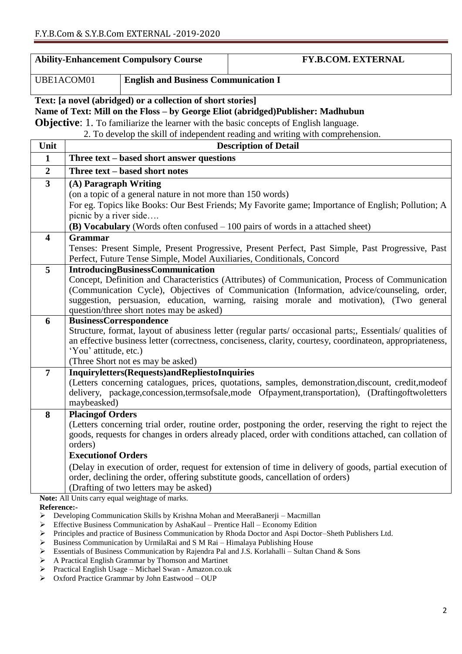| <b>Ability-Enhancement Compulsory Course</b> |                                             | <b>FY.B.COM. EXTERNAL</b> |  |
|----------------------------------------------|---------------------------------------------|---------------------------|--|
| UBE1ACOM01                                   | <b>English and Business Communication I</b> |                           |  |

# **Text: [a novel (abridged) or a collection of short stories] Name of Text: Mill on the Floss – by George Eliot (abridged)Publisher: Madhubun**

**Objective:** 1. To familiarize the learner with the basic concepts of English language.

|                         | 2. To develop the skill of independent reading and writing with comprehension.                                                       |
|-------------------------|--------------------------------------------------------------------------------------------------------------------------------------|
| Unit                    | <b>Description of Detail</b>                                                                                                         |
| $\mathbf{1}$            | Three text – based short answer questions                                                                                            |
| $\overline{2}$          | Three text – based short notes                                                                                                       |
| $\overline{3}$          | (A) Paragraph Writing                                                                                                                |
|                         | (on a topic of a general nature in not more than 150 words)                                                                          |
|                         | For eg. Topics like Books: Our Best Friends; My Favorite game; Importance of English; Pollution; A                                   |
|                         | picnic by a river side                                                                                                               |
|                         | (B) Vocabulary (Words often confused $-100$ pairs of words in a attached sheet)                                                      |
| $\overline{\mathbf{4}}$ | <b>Grammar</b>                                                                                                                       |
|                         | Tenses: Present Simple, Present Progressive, Present Perfect, Past Simple, Past Progressive, Past                                    |
|                         | Perfect, Future Tense Simple, Model Auxiliaries, Conditionals, Concord                                                               |
| 5                       | <b>IntroducingBusinessCommunication</b>                                                                                              |
|                         | Concept, Definition and Characteristics (Attributes) of Communication, Process of Communication                                      |
|                         | (Communication Cycle), Objectives of Communication (Information, advice/counseling, order,                                           |
|                         | suggestion, persuasion, education, warning, raising morale and motivation), (Two general<br>question/three short notes may be asked) |
| 6                       | <b>BusinessCorrespondence</b>                                                                                                        |
|                         | Structure, format, layout of abusiness letter (regular parts/occasional parts;, Essentials/qualities of                              |
|                         | an effective business letter (correctness, conciseness, clarity, courtesy, coordinateon, appropriateness,                            |
|                         | 'You' attitude, etc.)                                                                                                                |
|                         | (Three Short not es may be asked)                                                                                                    |
| $\overline{7}$          | <b>Inquiryletters(Requests)andRepliestoInquiries</b>                                                                                 |
|                         | (Letters concerning catalogues, prices, quotations, samples, demonstration, discount, credit, mode of                                |
|                         | delivery, package, concession, terms of sale, mode Of payment, transportation), (Drafting of two letters                             |
|                         | maybeasked)                                                                                                                          |
| 8                       | <b>Placingof Orders</b><br>(Letters concerning trial order, routine order, postponing the order, reserving the right to reject the   |
|                         | goods, requests for changes in orders already placed, order with conditions attached, can collation of                               |
|                         | orders)                                                                                                                              |
|                         | <b>Executionof Orders</b>                                                                                                            |
|                         | (Delay in execution of order, request for extension of time in delivery of goods, partial execution of                               |
|                         | order, declining the order, offering substitute goods, cancellation of orders)                                                       |
|                         | (Drafting of two letters may be asked)                                                                                               |
|                         | $\lambda$ 11 TT $\lambda$<br>$\sim$ $\sim$ $\sim$ $\sim$ $\sim$ $\sim$<br>$\mathbf{r}$                                               |

**Note:** All Units carry equal weightage of marks.

- Developing Communication Skills by Krishna Mohan and MeeraBanerji Macmillan
- Effective Business Communication by AshaKaul Prentice Hall Economy Edition
- Principles and practice of Business Communication by Rhoda Doctor and Aspi Doctor–Sheth Publishers Ltd.
- $\triangleright$  Business Communication by UrmilaRai and S M Rai Himalaya Publishing House
- $\triangleright$  Essentials of Business Communication by Rajendra Pal and J.S. Korlahalli Sultan Chand & Sons
- A Practical English Grammar by Thomson and Martinet
- Practical English Usage Michael Swan Amazon.co.uk
- Oxford Practice Grammar by John Eastwood OUP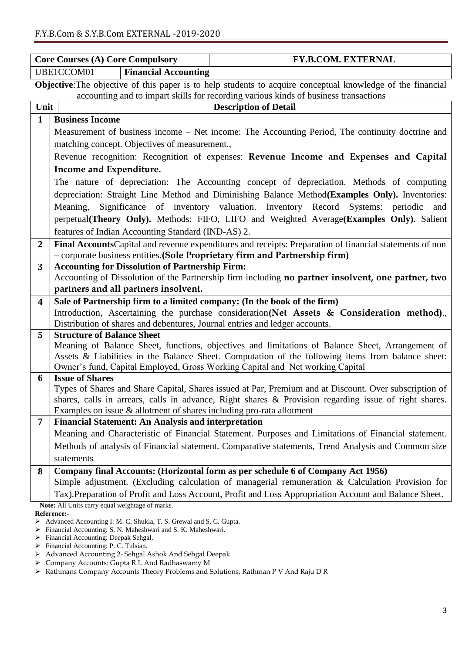|                         |                                   | <b>Core Courses (A) Core Compulsory</b>                    | <b>FY.B.COM. EXTERNAL</b>                                                                                                                                                     |
|-------------------------|-----------------------------------|------------------------------------------------------------|-------------------------------------------------------------------------------------------------------------------------------------------------------------------------------|
| UBE1CCOM01              |                                   | <b>Financial Accounting</b>                                |                                                                                                                                                                               |
|                         |                                   |                                                            | <b>Objective:</b> The objective of this paper is to help students to acquire conceptual knowledge of the financial                                                            |
|                         |                                   |                                                            | accounting and to impart skills for recording various kinds of business transactions                                                                                          |
| Unit                    |                                   |                                                            | <b>Description of Detail</b>                                                                                                                                                  |
| $\mathbf{1}$            | <b>Business Income</b>            |                                                            |                                                                                                                                                                               |
|                         |                                   |                                                            | Measurement of business income – Net income: The Accounting Period, The continuity doctrine and                                                                               |
|                         |                                   | matching concept. Objectives of measurement.,              |                                                                                                                                                                               |
|                         |                                   |                                                            | Revenue recognition: Recognition of expenses: Revenue Income and Expenses and Capital                                                                                         |
|                         | Income and Expenditure.           |                                                            |                                                                                                                                                                               |
|                         |                                   |                                                            | The nature of depreciation: The Accounting concept of depreciation. Methods of computing                                                                                      |
|                         |                                   |                                                            | depreciation: Straight Line Method and Diminishing Balance Method(Examples Only). Inventories:                                                                                |
|                         |                                   |                                                            | Meaning, Significance of inventory valuation. Inventory Record Systems: periodic<br>and                                                                                       |
|                         |                                   |                                                            | perpetual(Theory Only). Methods: FIFO, LIFO and Weighted Average(Examples Only). Salient                                                                                      |
|                         |                                   | features of Indian Accounting Standard (IND-AS) 2.         |                                                                                                                                                                               |
| $\overline{2}$          |                                   |                                                            | Final AccountsCapital and revenue expenditures and receipts: Preparation of financial statements of non                                                                       |
|                         |                                   |                                                            | - corporate business entities. (Sole Proprietary firm and Partnership firm)                                                                                                   |
| $\mathbf{3}$            |                                   | <b>Accounting for Dissolution of Partnership Firm:</b>     |                                                                                                                                                                               |
|                         |                                   |                                                            | Accounting of Dissolution of the Partnership firm including no partner insolvent, one partner, two                                                                            |
|                         |                                   | partners and all partners insolvent.                       |                                                                                                                                                                               |
| $\overline{\mathbf{4}}$ |                                   |                                                            | Sale of Partnership firm to a limited company: (In the book of the firm)                                                                                                      |
|                         |                                   |                                                            | Introduction, Ascertaining the purchase consideration (Net Assets & Consideration method).,<br>Distribution of shares and debentures, Journal entries and ledger accounts.    |
| $5\overline{)}$         | <b>Structure of Balance Sheet</b> |                                                            |                                                                                                                                                                               |
|                         |                                   |                                                            | Meaning of Balance Sheet, functions, objectives and limitations of Balance Sheet, Arrangement of                                                                              |
|                         |                                   |                                                            | Assets & Liabilities in the Balance Sheet. Computation of the following items from balance sheet:                                                                             |
|                         |                                   |                                                            | Owner's fund, Capital Employed, Gross Working Capital and Net working Capital                                                                                                 |
| 6                       | <b>Issue of Shares</b>            |                                                            |                                                                                                                                                                               |
|                         |                                   |                                                            | Types of Shares and Share Capital, Shares issued at Par, Premium and at Discount. Over subscription of                                                                        |
|                         |                                   |                                                            | shares, calls in arrears, calls in advance, Right shares & Provision regarding issue of right shares.<br>Examples on issue & allotment of shares including pro-rata allotment |
| 7                       |                                   | <b>Financial Statement: An Analysis and interpretation</b> |                                                                                                                                                                               |
|                         |                                   |                                                            | Meaning and Characteristic of Financial Statement. Purposes and Limitations of Financial statement.                                                                           |
|                         |                                   |                                                            | Methods of analysis of Financial statement. Comparative statements, Trend Analysis and Common size                                                                            |
|                         | statements                        |                                                            |                                                                                                                                                                               |
| 8                       |                                   |                                                            | Company final Accounts: (Horizontal form as per schedule 6 of Company Act 1956)                                                                                               |
|                         |                                   |                                                            | Simple adjustment. (Excluding calculation of managerial remuneration & Calculation Provision for                                                                              |
|                         |                                   |                                                            | Tax). Preparation of Profit and Loss Account, Profit and Loss Appropriation Account and Balance Sheet.                                                                        |

**Note:** All Units carry equal weightage of marks. **Reference:-**

<sup>&</sup>gt; Advanced Accounting I: M. C. Shukla, T. S. Grewal and S. C. Gupta.

Financial Accounting: S. N. Maheshwari and S. K. Maheshwari.

Financial Accounting: Deepak Sehgal.

Financial Accounting: P. C. Tulsian.

Advanced Accounting 2- Sehgal Ashok And Sehgal Deepak

Company Accounts: Gupta R L And Radhaswamy M

Rathmans Company Accounts Theory Problems and Solutions: Rathman P V And Raju D R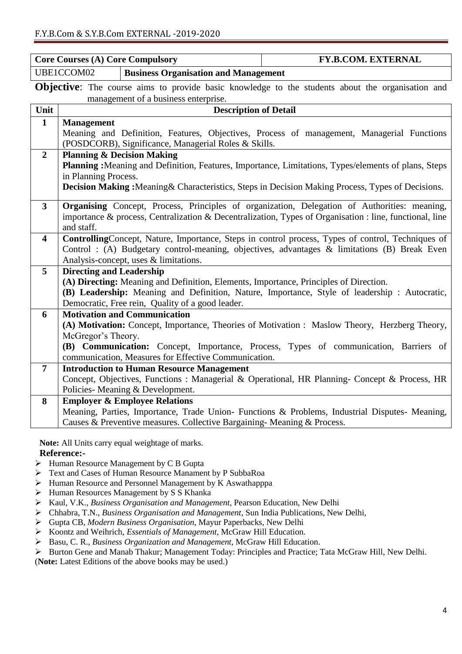|                         | <b>Core Courses (A) Core Compulsory</b>                                                                                                                                                          |                                                                                       | <b>FY.B.COM. EXTERNAL</b>                                                                               |
|-------------------------|--------------------------------------------------------------------------------------------------------------------------------------------------------------------------------------------------|---------------------------------------------------------------------------------------|---------------------------------------------------------------------------------------------------------|
|                         | UBE1CCOM02                                                                                                                                                                                       | <b>Business Organisation and Management</b>                                           |                                                                                                         |
|                         |                                                                                                                                                                                                  |                                                                                       | <b>Objective:</b> The course aims to provide basic knowledge to the students about the organisation and |
|                         |                                                                                                                                                                                                  | management of a business enterprise.                                                  |                                                                                                         |
| Unit                    |                                                                                                                                                                                                  | <b>Description of Detail</b>                                                          |                                                                                                         |
| $\mathbf{1}$            | <b>Management</b>                                                                                                                                                                                |                                                                                       |                                                                                                         |
|                         |                                                                                                                                                                                                  |                                                                                       | Meaning and Definition, Features, Objectives, Process of management, Managerial Functions               |
|                         |                                                                                                                                                                                                  | (POSDCORB), Significance, Managerial Roles & Skills.                                  |                                                                                                         |
| $\overline{2}$          | <b>Planning &amp; Decision Making</b>                                                                                                                                                            |                                                                                       |                                                                                                         |
|                         |                                                                                                                                                                                                  |                                                                                       | Planning: Meaning and Definition, Features, Importance, Limitations, Types/elements of plans, Steps     |
|                         | in Planning Process.                                                                                                                                                                             |                                                                                       | Decision Making: Meaning & Characteristics, Steps in Decision Making Process, Types of Decisions.       |
|                         |                                                                                                                                                                                                  |                                                                                       |                                                                                                         |
| $\overline{\mathbf{3}}$ |                                                                                                                                                                                                  |                                                                                       | <b>Organising</b> Concept, Process, Principles of organization, Delegation of Authorities: meaning,     |
|                         |                                                                                                                                                                                                  |                                                                                       | importance & process, Centralization & Decentralization, Types of Organisation : line, functional, line |
|                         | and staff.                                                                                                                                                                                       |                                                                                       |                                                                                                         |
| 4                       | ControllingConcept, Nature, Importance, Steps in control process, Types of control, Techniques of<br>Control: (A) Budgetary control-meaning, objectives, advantages & limitations (B) Break Even |                                                                                       |                                                                                                         |
|                         |                                                                                                                                                                                                  |                                                                                       |                                                                                                         |
| 5                       | <b>Directing and Leadership</b>                                                                                                                                                                  | Analysis-concept, uses & limitations.                                                 |                                                                                                         |
|                         |                                                                                                                                                                                                  | (A) Directing: Meaning and Definition, Elements, Importance, Principles of Direction. |                                                                                                         |
|                         |                                                                                                                                                                                                  |                                                                                       | (B) Leadership: Meaning and Definition, Nature, Importance, Style of leadership: Autocratic,            |
|                         | Democratic, Free rein, Quality of a good leader.                                                                                                                                                 |                                                                                       |                                                                                                         |
| 6                       |                                                                                                                                                                                                  | <b>Motivation and Communication</b>                                                   |                                                                                                         |
|                         |                                                                                                                                                                                                  |                                                                                       | (A) Motivation: Concept, Importance, Theories of Motivation : Maslow Theory, Herzberg Theory,           |
|                         | McGregor's Theory.                                                                                                                                                                               |                                                                                       |                                                                                                         |
|                         |                                                                                                                                                                                                  |                                                                                       | (B) Communication: Concept, Importance, Process, Types of communication, Barriers of                    |
|                         |                                                                                                                                                                                                  | communication, Measures for Effective Communication.                                  |                                                                                                         |
| $\overline{7}$          |                                                                                                                                                                                                  | <b>Introduction to Human Resource Management</b>                                      | Concept, Objectives, Functions : Managerial & Operational, HR Planning- Concept & Process, HR           |
|                         |                                                                                                                                                                                                  | Policies-Meaning & Development.                                                       |                                                                                                         |
| 8                       |                                                                                                                                                                                                  | <b>Employer &amp; Employee Relations</b>                                              |                                                                                                         |
|                         |                                                                                                                                                                                                  |                                                                                       | Meaning, Parties, Importance, Trade Union- Functions & Problems, Industrial Disputes- Meaning,          |
|                         |                                                                                                                                                                                                  | Causes & Preventive measures. Collective Bargaining-Meaning & Process.                |                                                                                                         |

**Note:** All Units carry equal weightage of marks.

**Reference:-**

- Human Resource Management by C B Gupta
- Text and Cases of Human Resource Manament by P SubbaRoa
- Human Resource and Personnel Management by K Aswathapppa
- Human Resources Management by S S Khanka
- Kaul, V.K., *Business Organisation and Management*, Pearson Education, New Delhi
- Chhabra, T.N., *Business Organisation and Management*, Sun India Publications, New Delhi,
- Gupta CB, *Modern Business Organisation*, Mayur Paperbacks, New Delhi
- Koontz and Weihrich, *Essentials of Management*, McGraw Hill Education.
- Basu, C. R., *Business Organization and Management*, McGraw Hill Education.
- Burton Gene and Manab Thakur; Management Today: Principles and Practice; Tata McGraw Hill, New Delhi.

(**Note:** Latest Editions of the above books may be used.)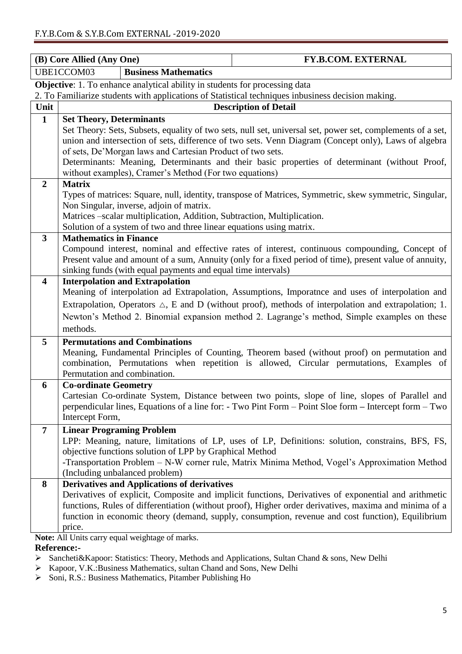|                         | (B) Core Allied (Any One)                                                                                                                  |                                                                         | <b>FY.B.COM. EXTERNAL</b>                                                                                  |  |  |
|-------------------------|--------------------------------------------------------------------------------------------------------------------------------------------|-------------------------------------------------------------------------|------------------------------------------------------------------------------------------------------------|--|--|
|                         | UBE1CCOM03                                                                                                                                 | <b>Business Mathematics</b>                                             |                                                                                                            |  |  |
|                         | <b>Objective:</b> 1. To enhance analytical ability in students for processing data                                                         |                                                                         |                                                                                                            |  |  |
|                         | 2. To Familiarize students with applications of Statistical techniques inbusiness decision making.                                         |                                                                         |                                                                                                            |  |  |
| Unit                    |                                                                                                                                            |                                                                         | <b>Description of Detail</b>                                                                               |  |  |
| $\mathbf{1}$            | <b>Set Theory, Determinants</b>                                                                                                            |                                                                         |                                                                                                            |  |  |
|                         |                                                                                                                                            |                                                                         | Set Theory: Sets, Subsets, equality of two sets, null set, universal set, power set, complements of a set, |  |  |
|                         |                                                                                                                                            |                                                                         | union and intersection of sets, difference of two sets. Venn Diagram (Concept only), Laws of algebra       |  |  |
|                         |                                                                                                                                            | of sets, De'Morgan laws and Cartesian Product of two sets.              | Determinants: Meaning, Determinants and their basic properties of determinant (without Proof,              |  |  |
|                         |                                                                                                                                            | without examples), Cramer's Method (For two equations)                  |                                                                                                            |  |  |
| $\boldsymbol{2}$        | <b>Matrix</b>                                                                                                                              |                                                                         |                                                                                                            |  |  |
|                         |                                                                                                                                            |                                                                         | Types of matrices: Square, null, identity, transpose of Matrices, Symmetric, skew symmetric, Singular,     |  |  |
|                         |                                                                                                                                            | Non Singular, inverse, adjoin of matrix.                                |                                                                                                            |  |  |
|                         |                                                                                                                                            | Matrices -scalar multiplication, Addition, Subtraction, Multiplication. |                                                                                                            |  |  |
|                         |                                                                                                                                            | Solution of a system of two and three linear equations using matrix.    |                                                                                                            |  |  |
| $\mathbf{3}$            | <b>Mathematics in Finance</b>                                                                                                              |                                                                         |                                                                                                            |  |  |
|                         |                                                                                                                                            |                                                                         | Compound interest, nominal and effective rates of interest, continuous compounding, Concept of             |  |  |
|                         |                                                                                                                                            |                                                                         | Present value and amount of a sum, Annuity (only for a fixed period of time), present value of annuity,    |  |  |
| $\overline{\mathbf{4}}$ |                                                                                                                                            | sinking funds (with equal payments and equal time intervals)            |                                                                                                            |  |  |
|                         | <b>Interpolation and Extrapolation</b><br>Meaning of interpolation ad Extrapolation, Assumptions, Imporatnce and uses of interpolation and |                                                                         |                                                                                                            |  |  |
|                         | Extrapolation, Operators $\triangle$ , E and D (without proof), methods of interpolation and extrapolation; 1.                             |                                                                         |                                                                                                            |  |  |
|                         | Newton's Method 2. Binomial expansion method 2. Lagrange's method, Simple examples on these                                                |                                                                         |                                                                                                            |  |  |
|                         | methods.                                                                                                                                   |                                                                         |                                                                                                            |  |  |
| 5                       | <b>Permutations and Combinations</b>                                                                                                       |                                                                         |                                                                                                            |  |  |
|                         |                                                                                                                                            |                                                                         | Meaning, Fundamental Principles of Counting, Theorem based (without proof) on permutation and              |  |  |
|                         |                                                                                                                                            |                                                                         | combination, Permutations when repetition is allowed, Circular permutations, Examples of                   |  |  |
|                         | Permutation and combination.                                                                                                               |                                                                         |                                                                                                            |  |  |
| 6                       | <b>Co-ordinate Geometry</b>                                                                                                                |                                                                         |                                                                                                            |  |  |
|                         |                                                                                                                                            |                                                                         | Cartesian Co-ordinate System, Distance between two points, slope of line, slopes of Parallel and           |  |  |
|                         |                                                                                                                                            |                                                                         | perpendicular lines, Equations of a line for: - Two Pint Form – Point Sloe form – Intercept form – Two     |  |  |
|                         | Intercept Form,                                                                                                                            |                                                                         |                                                                                                            |  |  |
| $\overline{7}$          | <b>Linear Programing Problem</b>                                                                                                           |                                                                         |                                                                                                            |  |  |
|                         | LPP: Meaning, nature, limitations of LP, uses of LP, Definitions: solution, constrains, BFS, FS,                                           |                                                                         |                                                                                                            |  |  |
|                         | objective functions solution of LPP by Graphical Method                                                                                    |                                                                         |                                                                                                            |  |  |
|                         | -Transportation Problem - N-W corner rule, Matrix Minima Method, Vogel's Approximation Method<br>(Including unbalanced problem)            |                                                                         |                                                                                                            |  |  |
| 8                       |                                                                                                                                            | <b>Derivatives and Applications of derivatives</b>                      |                                                                                                            |  |  |
|                         |                                                                                                                                            |                                                                         | Derivatives of explicit, Composite and implicit functions, Derivatives of exponential and arithmetic       |  |  |
|                         |                                                                                                                                            |                                                                         | functions, Rules of differentiation (without proof), Higher order derivatives, maxima and minima of a      |  |  |
|                         |                                                                                                                                            |                                                                         | function in economic theory (demand, supply, consumption, revenue and cost function), Equilibrium          |  |  |
|                         | price.                                                                                                                                     |                                                                         |                                                                                                            |  |  |
|                         |                                                                                                                                            | Note: All Units carry equal weightage of marks.                         |                                                                                                            |  |  |

- Sancheti&Kapoor: Statistics: Theory, Methods and Applications, Sultan Chand & sons, New Delhi
- Kapoor, V.K.:Business Mathematics, sultan Chand and Sons, New Delhi
- Soni, R.S.: Business Mathematics, Pitamber Publishing Ho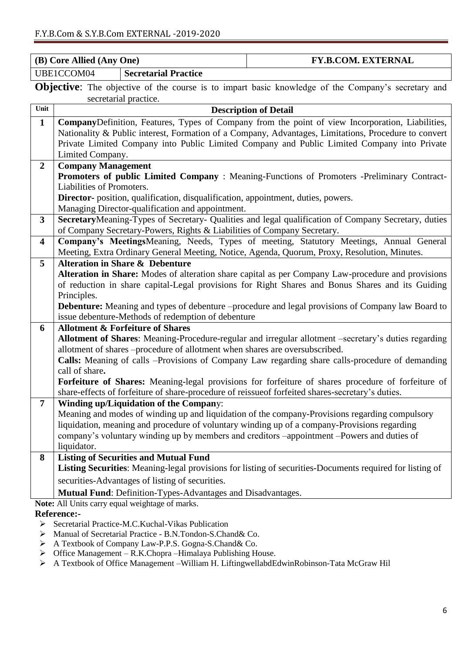|                         | (B) Core Allied (Any One)                                                                                 |                                                                                   | <b>FY.B.COM. EXTERNAL</b>                                                                                |  |  |
|-------------------------|-----------------------------------------------------------------------------------------------------------|-----------------------------------------------------------------------------------|----------------------------------------------------------------------------------------------------------|--|--|
|                         | UBE1CCOM04                                                                                                | <b>Secretarial Practice</b>                                                       |                                                                                                          |  |  |
|                         | <b>Objective:</b> The objective of the course is to impart basic knowledge of the Company's secretary and |                                                                                   |                                                                                                          |  |  |
|                         |                                                                                                           | secretarial practice.                                                             |                                                                                                          |  |  |
| Unit                    |                                                                                                           |                                                                                   | <b>Description of Detail</b>                                                                             |  |  |
| $\mathbf{1}$            |                                                                                                           |                                                                                   | CompanyDefinition, Features, Types of Company from the point of view Incorporation, Liabilities,         |  |  |
|                         |                                                                                                           |                                                                                   | Nationality & Public interest, Formation of a Company, Advantages, Limitations, Procedure to convert     |  |  |
|                         | Limited Company.                                                                                          |                                                                                   | Private Limited Company into Public Limited Company and Public Limited Company into Private              |  |  |
| $\overline{2}$          | <b>Company Management</b>                                                                                 |                                                                                   |                                                                                                          |  |  |
|                         |                                                                                                           |                                                                                   | Promoters of public Limited Company : Meaning-Functions of Promoters -Preliminary Contract-              |  |  |
|                         | Liabilities of Promoters.                                                                                 |                                                                                   |                                                                                                          |  |  |
|                         |                                                                                                           | Director- position, qualification, disqualification, appointment, duties, powers. |                                                                                                          |  |  |
|                         |                                                                                                           | Managing Director-qualification and appointment.                                  |                                                                                                          |  |  |
| $\mathbf{3}$            |                                                                                                           |                                                                                   | SecretaryMeaning-Types of Secretary- Qualities and legal qualification of Company Secretary, duties      |  |  |
|                         |                                                                                                           | of Company Secretary-Powers, Rights & Liabilities of Company Secretary.           |                                                                                                          |  |  |
| $\overline{\mathbf{4}}$ |                                                                                                           |                                                                                   | Company's MeetingsMeaning, Needs, Types of meeting, Statutory Meetings, Annual General                   |  |  |
|                         |                                                                                                           |                                                                                   | Meeting, Extra Ordinary General Meeting, Notice, Agenda, Quorum, Proxy, Resolution, Minutes.             |  |  |
| 5                       |                                                                                                           | <b>Alteration in Share &amp; Debenture</b>                                        | Alteration in Share: Modes of alteration share capital as per Company Law-procedure and provisions       |  |  |
|                         |                                                                                                           |                                                                                   | of reduction in share capital-Legal provisions for Right Shares and Bonus Shares and its Guiding         |  |  |
|                         | Principles.                                                                                               |                                                                                   |                                                                                                          |  |  |
|                         | <b>Debenture:</b> Meaning and types of debenture –procedure and legal provisions of Company law Board to  |                                                                                   |                                                                                                          |  |  |
|                         | issue debenture-Methods of redemption of debenture                                                        |                                                                                   |                                                                                                          |  |  |
| 6                       |                                                                                                           | <b>Allotment &amp; Forfeiture of Shares</b>                                       |                                                                                                          |  |  |
|                         |                                                                                                           |                                                                                   | Allotment of Shares: Meaning-Procedure-regular and irregular allotment -secretary's duties regarding     |  |  |
|                         |                                                                                                           | allotment of shares -procedure of allotment when shares are oversubscribed.       |                                                                                                          |  |  |
|                         | Calls: Meaning of calls --Provisions of Company Law regarding share calls-procedure of demanding          |                                                                                   |                                                                                                          |  |  |
|                         | call of share.                                                                                            |                                                                                   | Forfeiture of Shares: Meaning-legal provisions for forfeiture of shares procedure of forfeiture of       |  |  |
|                         |                                                                                                           |                                                                                   | share-effects of forfeiture of share-procedure of reissue of forfeited shares-secretary's duties.        |  |  |
| 7                       |                                                                                                           | Winding up/Liquidation of the Company:                                            |                                                                                                          |  |  |
|                         |                                                                                                           |                                                                                   | Meaning and modes of winding up and liquidation of the company-Provisions regarding compulsory           |  |  |
|                         | liquidation, meaning and procedure of voluntary winding up of a company-Provisions regarding              |                                                                                   |                                                                                                          |  |  |
|                         |                                                                                                           |                                                                                   | company's voluntary winding up by members and creditors -appointment -Powers and duties of               |  |  |
|                         | liquidator.                                                                                               |                                                                                   |                                                                                                          |  |  |
| 8                       |                                                                                                           | <b>Listing of Securities and Mutual Fund</b>                                      |                                                                                                          |  |  |
|                         |                                                                                                           |                                                                                   | Listing Securities: Meaning-legal provisions for listing of securities-Documents required for listing of |  |  |
|                         |                                                                                                           | securities-Advantages of listing of securities.                                   |                                                                                                          |  |  |
|                         |                                                                                                           | Mutual Fund: Definition-Types-Advantages and Disadvantages.                       |                                                                                                          |  |  |
|                         |                                                                                                           | Note: All Units carry equal weightage of marks.                                   |                                                                                                          |  |  |

- Secretarial Practice-M.C.Kuchal-Vikas Publication
- Manual of Secretarial Practice B.N.Tondon-S.Chand& Co.
- A Textbook of Company Law-P.P.S. Gogna-S.Chand& Co.
- $\triangleright$  Office Management R.K.Chopra –Himalaya Publishing House.
- A Textbook of Office Management –William H. LiftingwellabdEdwinRobinson-Tata McGraw Hil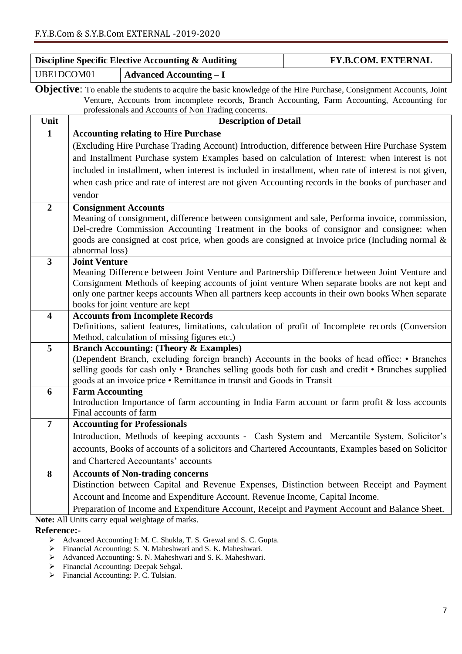|                                                                                                                                                                                                                                                                                   | Discipline Specific Elective Accounting & Auditing                                                                                                                                           | <b>FY.B.COM. EXTERNAL</b> |  |  |
|-----------------------------------------------------------------------------------------------------------------------------------------------------------------------------------------------------------------------------------------------------------------------------------|----------------------------------------------------------------------------------------------------------------------------------------------------------------------------------------------|---------------------------|--|--|
| UBE1DCOM01                                                                                                                                                                                                                                                                        | <b>Advanced Accounting – I</b>                                                                                                                                                               |                           |  |  |
| <b>Objective:</b> To enable the students to acquire the basic knowledge of the Hire Purchase, Consignment Accounts, Joint<br>Venture, Accounts from incomplete records, Branch Accounting, Farm Accounting, Accounting for<br>professionals and Accounts of Non Trading concerns. |                                                                                                                                                                                              |                           |  |  |
| Unit                                                                                                                                                                                                                                                                              | <b>Description of Detail</b>                                                                                                                                                                 |                           |  |  |
| $\mathbf{1}$                                                                                                                                                                                                                                                                      | <b>Accounting relating to Hire Purchase</b>                                                                                                                                                  |                           |  |  |
|                                                                                                                                                                                                                                                                                   | (Excluding Hire Purchase Trading Account) Introduction, difference between Hire Purchase System                                                                                              |                           |  |  |
|                                                                                                                                                                                                                                                                                   | and Installment Purchase system Examples based on calculation of Interest: when interest is not                                                                                              |                           |  |  |
|                                                                                                                                                                                                                                                                                   | included in installment, when interest is included in installment, when rate of interest is not given,                                                                                       |                           |  |  |
|                                                                                                                                                                                                                                                                                   | when cash price and rate of interest are not given Accounting records in the books of purchaser and                                                                                          |                           |  |  |
|                                                                                                                                                                                                                                                                                   | vendor                                                                                                                                                                                       |                           |  |  |
| $\overline{2}$                                                                                                                                                                                                                                                                    | <b>Consignment Accounts</b>                                                                                                                                                                  |                           |  |  |
|                                                                                                                                                                                                                                                                                   | Meaning of consignment, difference between consignment and sale, Performa invoice, commission,                                                                                               |                           |  |  |
|                                                                                                                                                                                                                                                                                   | Del-credre Commission Accounting Treatment in the books of consignor and consignee: when<br>goods are consigned at cost price, when goods are consigned at Invoice price (Including normal & |                           |  |  |
|                                                                                                                                                                                                                                                                                   | abnormal loss)                                                                                                                                                                               |                           |  |  |
| $\overline{\mathbf{3}}$                                                                                                                                                                                                                                                           | <b>Joint Venture</b>                                                                                                                                                                         |                           |  |  |
|                                                                                                                                                                                                                                                                                   | Meaning Difference between Joint Venture and Partnership Difference between Joint Venture and                                                                                                |                           |  |  |
|                                                                                                                                                                                                                                                                                   | Consignment Methods of keeping accounts of joint venture When separate books are not kept and                                                                                                |                           |  |  |
|                                                                                                                                                                                                                                                                                   | only one partner keeps accounts When all partners keep accounts in their own books When separate                                                                                             |                           |  |  |
| 4                                                                                                                                                                                                                                                                                 | books for joint venture are kept<br><b>Accounts from Incomplete Records</b>                                                                                                                  |                           |  |  |
|                                                                                                                                                                                                                                                                                   | Definitions, salient features, limitations, calculation of profit of Incomplete records (Conversion                                                                                          |                           |  |  |
|                                                                                                                                                                                                                                                                                   | Method, calculation of missing figures etc.)                                                                                                                                                 |                           |  |  |
| 5                                                                                                                                                                                                                                                                                 | <b>Branch Accounting: (Theory &amp; Examples)</b>                                                                                                                                            |                           |  |  |
|                                                                                                                                                                                                                                                                                   | (Dependent Branch, excluding foreign branch) Accounts in the books of head office: • Branches                                                                                                |                           |  |  |
|                                                                                                                                                                                                                                                                                   | selling goods for cash only • Branches selling goods both for cash and credit • Branches supplied                                                                                            |                           |  |  |
| 6                                                                                                                                                                                                                                                                                 | goods at an invoice price • Remittance in transit and Goods in Transit<br><b>Farm Accounting</b>                                                                                             |                           |  |  |
|                                                                                                                                                                                                                                                                                   | Introduction Importance of farm accounting in India Farm account or farm profit $\&$ loss accounts                                                                                           |                           |  |  |
|                                                                                                                                                                                                                                                                                   | Final accounts of farm                                                                                                                                                                       |                           |  |  |
| $\overline{7}$                                                                                                                                                                                                                                                                    | <b>Accounting for Professionals</b>                                                                                                                                                          |                           |  |  |
|                                                                                                                                                                                                                                                                                   | Introduction, Methods of keeping accounts - Cash System and Mercantile System, Solicitor's                                                                                                   |                           |  |  |
|                                                                                                                                                                                                                                                                                   | accounts, Books of accounts of a solicitors and Chartered Accountants, Examples based on Solicitor                                                                                           |                           |  |  |
|                                                                                                                                                                                                                                                                                   | and Chartered Accountants' accounts                                                                                                                                                          |                           |  |  |
| 8                                                                                                                                                                                                                                                                                 | <b>Accounts of Non-trading concerns</b>                                                                                                                                                      |                           |  |  |
|                                                                                                                                                                                                                                                                                   | Distinction between Capital and Revenue Expenses, Distinction between Receipt and Payment                                                                                                    |                           |  |  |
|                                                                                                                                                                                                                                                                                   | Account and Income and Expenditure Account. Revenue Income, Capital Income.                                                                                                                  |                           |  |  |
|                                                                                                                                                                                                                                                                                   | Preparation of Income and Expenditure Account, Receipt and Payment Account and Balance Sheet.                                                                                                |                           |  |  |
|                                                                                                                                                                                                                                                                                   | Note: All Units carry equal weightage of marks.                                                                                                                                              |                           |  |  |

- Advanced Accounting I: M. C. Shukla, T. S. Grewal and S. C. Gupta.
- Financial Accounting: S. N. Maheshwari and S. K. Maheshwari.
- Advanced Accounting: S. N. Maheshwari and S. K. Maheshwari.
- > Financial Accounting: Deepak Sehgal.
- Financial Accounting: P. C. Tulsian.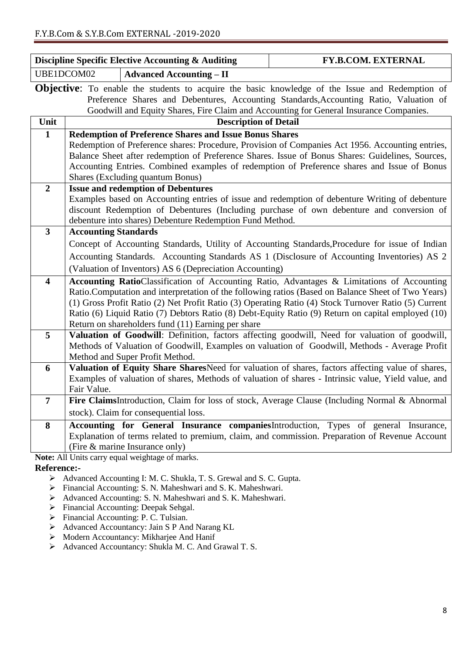|                         |                             | Discipline Specific Elective Accounting & Auditing                                                       | <b>FY.B.COM. EXTERNAL</b>                                                                                                                                                                                                                                                                                                                                                                                      |
|-------------------------|-----------------------------|----------------------------------------------------------------------------------------------------------|----------------------------------------------------------------------------------------------------------------------------------------------------------------------------------------------------------------------------------------------------------------------------------------------------------------------------------------------------------------------------------------------------------------|
|                         | UBE1DCOM02                  | <b>Advanced Accounting - II</b>                                                                          |                                                                                                                                                                                                                                                                                                                                                                                                                |
|                         |                             |                                                                                                          | <b>Objective:</b> To enable the students to acquire the basic knowledge of the Issue and Redemption of<br>Preference Shares and Debentures, Accounting Standards, Accounting Ratio, Valuation of<br>Goodwill and Equity Shares, Fire Claim and Accounting for General Insurance Companies.                                                                                                                     |
| Unit                    |                             | <b>Description of Detail</b>                                                                             |                                                                                                                                                                                                                                                                                                                                                                                                                |
| $\mathbf{1}$            |                             | <b>Redemption of Preference Shares and Issue Bonus Shares</b><br><b>Shares (Excluding quantum Bonus)</b> | Redemption of Preference shares: Procedure, Provision of Companies Act 1956. Accounting entries,<br>Balance Sheet after redemption of Preference Shares. Issue of Bonus Shares: Guidelines, Sources,<br>Accounting Entries. Combined examples of redemption of Preference shares and Issue of Bonus                                                                                                            |
| $\overline{2}$          |                             | <b>Issue and redemption of Debentures</b><br>debenture into shares) Debenture Redemption Fund Method.    | Examples based on Accounting entries of issue and redemption of debenture Writing of debenture<br>discount Redemption of Debentures (Including purchase of own debenture and conversion of                                                                                                                                                                                                                     |
| $\overline{\mathbf{3}}$ | <b>Accounting Standards</b> | (Valuation of Inventors) AS 6 (Depreciation Accounting)                                                  | Concept of Accounting Standards, Utility of Accounting Standards, Procedure for issue of Indian<br>Accounting Standards. Accounting Standards AS 1 (Disclosure of Accounting Inventories) AS 2                                                                                                                                                                                                                 |
| $\overline{\mathbf{4}}$ |                             | Return on shareholders fund (11) Earning per share                                                       | Accounting RatioClassification of Accounting Ratio, Advantages & Limitations of Accounting<br>Ratio.Computation and interpretation of the following ratios (Based on Balance Sheet of Two Years)<br>(1) Gross Profit Ratio (2) Net Profit Ratio (3) Operating Ratio (4) Stock Turnover Ratio (5) Current<br>Ratio (6) Liquid Ratio (7) Debtors Ratio (8) Debt-Equity Ratio (9) Return on capital employed (10) |
| 5                       |                             | Method and Super Profit Method.                                                                          | Valuation of Goodwill: Definition, factors affecting goodwill, Need for valuation of goodwill,<br>Methods of Valuation of Goodwill, Examples on valuation of Goodwill, Methods - Average Profit                                                                                                                                                                                                                |
| 6                       | Fair Value.                 |                                                                                                          | Valuation of Equity Share SharesNeed for valuation of shares, factors affecting value of shares,<br>Examples of valuation of shares, Methods of valuation of shares - Intrinsic value, Yield value, and                                                                                                                                                                                                        |
| $\overline{7}$          |                             | stock). Claim for consequential loss.                                                                    | Fire ClaimsIntroduction, Claim for loss of stock, Average Clause (Including Normal & Abnormal                                                                                                                                                                                                                                                                                                                  |
| 8                       |                             | (Fire & marine Insurance only)                                                                           | Accounting for General Insurance companiesIntroduction, Types of general Insurance,<br>Explanation of terms related to premium, claim, and commission. Preparation of Revenue Account                                                                                                                                                                                                                          |

**Note:** All Units carry equal weightage of marks.

- > Advanced Accounting I: M. C. Shukla, T. S. Grewal and S. C. Gupta.
- Financial Accounting: S. N. Maheshwari and S. K. Maheshwari.
- Advanced Accounting: S. N. Maheshwari and S. K. Maheshwari.
- Financial Accounting: Deepak Sehgal.
- > Financial Accounting: P. C. Tulsian.
- > Advanced Accountancy: Jain S P And Narang KL
- Modern Accountancy: Mikharjee And Hanif
- > Advanced Accountancy: Shukla M. C. And Grawal T. S.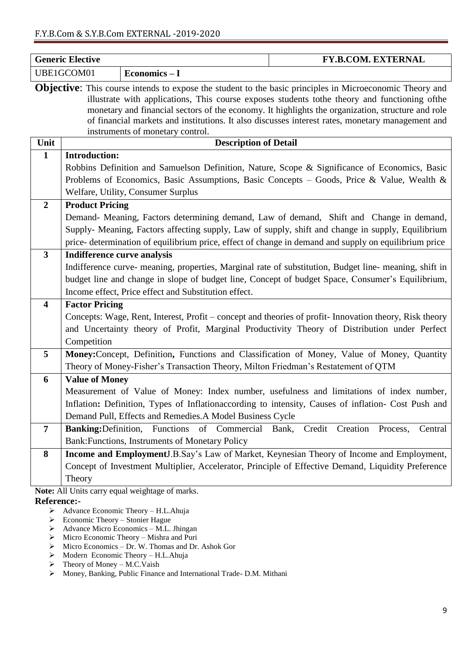|                         | <b>Generic Elective</b>                                                                                                                                                                                                                                                                                                                                                                                                                                        |                                                                                   | <b>FY.B.COM. EXTERNAL</b>                                                                                                                                                                                                                                                                             |  |
|-------------------------|----------------------------------------------------------------------------------------------------------------------------------------------------------------------------------------------------------------------------------------------------------------------------------------------------------------------------------------------------------------------------------------------------------------------------------------------------------------|-----------------------------------------------------------------------------------|-------------------------------------------------------------------------------------------------------------------------------------------------------------------------------------------------------------------------------------------------------------------------------------------------------|--|
|                         | UBE1GCOM01                                                                                                                                                                                                                                                                                                                                                                                                                                                     | $Economics - I$                                                                   |                                                                                                                                                                                                                                                                                                       |  |
|                         | <b>Objective:</b> This course intends to expose the student to the basic principles in Microeconomic Theory and<br>illustrate with applications, This course exposes students tothe theory and functioning of the<br>monetary and financial sectors of the economy. It highlights the organization, structure and role<br>of financial markets and institutions. It also discusses interest rates, monetary management and<br>instruments of monetary control. |                                                                                   |                                                                                                                                                                                                                                                                                                       |  |
| Unit                    |                                                                                                                                                                                                                                                                                                                                                                                                                                                                | <b>Description of Detail</b>                                                      |                                                                                                                                                                                                                                                                                                       |  |
| $\mathbf{1}$            | <b>Introduction:</b>                                                                                                                                                                                                                                                                                                                                                                                                                                           | Welfare, Utility, Consumer Surplus                                                | Robbins Definition and Samuelson Definition, Nature, Scope & Significance of Economics, Basic<br>Problems of Economics, Basic Assumptions, Basic Concepts – Goods, Price & Value, Wealth &                                                                                                            |  |
| $\overline{2}$          | <b>Product Pricing</b>                                                                                                                                                                                                                                                                                                                                                                                                                                         |                                                                                   |                                                                                                                                                                                                                                                                                                       |  |
|                         |                                                                                                                                                                                                                                                                                                                                                                                                                                                                |                                                                                   | Demand- Meaning, Factors determining demand, Law of demand, Shift and Change in demand,<br>Supply- Meaning, Factors affecting supply, Law of supply, shift and change in supply, Equilibrium<br>price- determination of equilibrium price, effect of change in demand and supply on equilibrium price |  |
| $\mathbf{3}$            | <b>Indifference curve analysis</b>                                                                                                                                                                                                                                                                                                                                                                                                                             |                                                                                   |                                                                                                                                                                                                                                                                                                       |  |
|                         |                                                                                                                                                                                                                                                                                                                                                                                                                                                                | Income effect, Price effect and Substitution effect.                              | Indifference curve- meaning, properties, Marginal rate of substitution, Budget line- meaning, shift in<br>budget line and change in slope of budget line, Concept of budget Space, Consumer's Equilibrium,                                                                                            |  |
| $\overline{\mathbf{4}}$ | <b>Factor Pricing</b>                                                                                                                                                                                                                                                                                                                                                                                                                                          |                                                                                   |                                                                                                                                                                                                                                                                                                       |  |
|                         |                                                                                                                                                                                                                                                                                                                                                                                                                                                                |                                                                                   | Concepts: Wage, Rent, Interest, Profit – concept and theories of profit-Innovation theory, Risk theory<br>and Uncertainty theory of Profit, Marginal Productivity Theory of Distribution under Perfect                                                                                                |  |
|                         | Competition                                                                                                                                                                                                                                                                                                                                                                                                                                                    |                                                                                   |                                                                                                                                                                                                                                                                                                       |  |
| 5                       |                                                                                                                                                                                                                                                                                                                                                                                                                                                                | Theory of Money-Fisher's Transaction Theory, Milton Friedman's Restatement of QTM | Money:Concept, Definition, Functions and Classification of Money, Value of Money, Quantity                                                                                                                                                                                                            |  |
| 6                       | <b>Value of Money</b>                                                                                                                                                                                                                                                                                                                                                                                                                                          |                                                                                   |                                                                                                                                                                                                                                                                                                       |  |
|                         |                                                                                                                                                                                                                                                                                                                                                                                                                                                                |                                                                                   | Measurement of Value of Money: Index number, usefulness and limitations of index number,                                                                                                                                                                                                              |  |
|                         |                                                                                                                                                                                                                                                                                                                                                                                                                                                                | Demand Pull, Effects and Remedies.A Model Business Cycle                          | Inflation: Definition, Types of Inflationaccording to intensity, Causes of inflation- Cost Push and                                                                                                                                                                                                   |  |
| $\overline{7}$          |                                                                                                                                                                                                                                                                                                                                                                                                                                                                | Banking: Definition, Functions of Commercial Bank,                                | Credit<br>Creation<br>Process,<br>Central                                                                                                                                                                                                                                                             |  |
|                         |                                                                                                                                                                                                                                                                                                                                                                                                                                                                | Bank: Functions, Instruments of Monetary Policy                                   |                                                                                                                                                                                                                                                                                                       |  |
| 8                       |                                                                                                                                                                                                                                                                                                                                                                                                                                                                |                                                                                   | Income and EmploymentJ.B.Say's Law of Market, Keynesian Theory of Income and Employment,                                                                                                                                                                                                              |  |
|                         | Theory                                                                                                                                                                                                                                                                                                                                                                                                                                                         |                                                                                   | Concept of Investment Multiplier, Accelerator, Principle of Effective Demand, Liquidity Preference                                                                                                                                                                                                    |  |
|                         |                                                                                                                                                                                                                                                                                                                                                                                                                                                                | Note: All Units carry equal weightage of marks.                                   |                                                                                                                                                                                                                                                                                                       |  |
| Reference:              |                                                                                                                                                                                                                                                                                                                                                                                                                                                                |                                                                                   |                                                                                                                                                                                                                                                                                                       |  |

- Advance Economic Theory H.L.Ahuja
- $\triangleright$  Economic Theory Stonier Hague
- $\triangleright$  Advance Micro Economics M.L. Jhingan
- Micro Economic Theory Mishra and Puri
- Micro Economics Dr. W. Thomas and Dr. Ashok Gor
- Modern Economic Theory H.L.Ahuja
- $\triangleright$  Theory of Money M.C. Vaish
- Money, Banking, Public Finance and International Trade- D.M. Mithani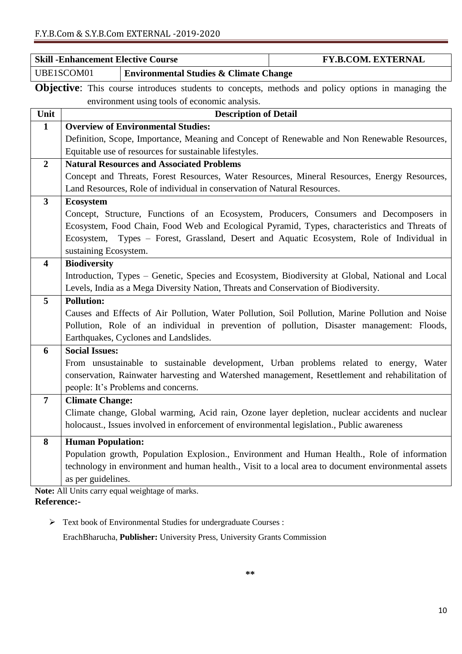|                         |                                                                                                                         | <b>Skill - Enhancement Elective Course</b>                                          | <b>FY.B.COM. EXTERNAL</b>                                                                                 |
|-------------------------|-------------------------------------------------------------------------------------------------------------------------|-------------------------------------------------------------------------------------|-----------------------------------------------------------------------------------------------------------|
|                         | UBE1SCOM01                                                                                                              | <b>Environmental Studies &amp; Climate Change</b>                                   |                                                                                                           |
|                         |                                                                                                                         |                                                                                     | <b>Objective:</b> This course introduces students to concepts, methods and policy options in managing the |
|                         |                                                                                                                         | environment using tools of economic analysis.                                       |                                                                                                           |
| Unit                    |                                                                                                                         | <b>Description of Detail</b>                                                        |                                                                                                           |
| $\mathbf{1}$            |                                                                                                                         | <b>Overview of Environmental Studies:</b>                                           |                                                                                                           |
|                         |                                                                                                                         |                                                                                     | Definition, Scope, Importance, Meaning and Concept of Renewable and Non Renewable Resources,              |
|                         |                                                                                                                         | Equitable use of resources for sustainable lifestyles.                              |                                                                                                           |
| $\overline{2}$          |                                                                                                                         | <b>Natural Resources and Associated Problems</b>                                    |                                                                                                           |
|                         |                                                                                                                         |                                                                                     | Concept and Threats, Forest Resources, Water Resources, Mineral Resources, Energy Resources,              |
|                         |                                                                                                                         | Land Resources, Role of individual in conservation of Natural Resources.            |                                                                                                           |
| $\mathbf{3}$            | <b>Ecosystem</b>                                                                                                        |                                                                                     |                                                                                                           |
|                         |                                                                                                                         |                                                                                     | Concept, Structure, Functions of an Ecosystem, Producers, Consumers and Decomposers in                    |
|                         |                                                                                                                         |                                                                                     | Ecosystem, Food Chain, Food Web and Ecological Pyramid, Types, characteristics and Threats of             |
|                         |                                                                                                                         |                                                                                     | Ecosystem, Types - Forest, Grassland, Desert and Aquatic Ecosystem, Role of Individual in                 |
|                         | sustaining Ecosystem.                                                                                                   |                                                                                     |                                                                                                           |
| $\overline{\mathbf{4}}$ | <b>Biodiversity</b><br>Introduction, Types – Genetic, Species and Ecosystem, Biodiversity at Global, National and Local |                                                                                     |                                                                                                           |
|                         |                                                                                                                         | Levels, India as a Mega Diversity Nation, Threats and Conservation of Biodiversity. |                                                                                                           |
| 5                       | <b>Pollution:</b>                                                                                                       |                                                                                     |                                                                                                           |
|                         |                                                                                                                         |                                                                                     | Causes and Effects of Air Pollution, Water Pollution, Soil Pollution, Marine Pollution and Noise          |
|                         |                                                                                                                         |                                                                                     | Pollution, Role of an individual in prevention of pollution, Disaster management: Floods,                 |
|                         |                                                                                                                         | Earthquakes, Cyclones and Landslides.                                               |                                                                                                           |
| 6                       | <b>Social Issues:</b>                                                                                                   |                                                                                     |                                                                                                           |
|                         |                                                                                                                         |                                                                                     | From unsustainable to sustainable development, Urban problems related to energy, Water                    |
|                         |                                                                                                                         |                                                                                     | conservation, Rainwater harvesting and Watershed management, Resettlement and rehabilitation of           |
|                         |                                                                                                                         | people: It's Problems and concerns.                                                 |                                                                                                           |
| $\overline{7}$          | <b>Climate Change:</b>                                                                                                  |                                                                                     |                                                                                                           |
|                         |                                                                                                                         |                                                                                     | Climate change, Global warming, Acid rain, Ozone layer depletion, nuclear accidents and nuclear           |
|                         | holocaust., Issues involved in enforcement of environmental legislation., Public awareness                              |                                                                                     |                                                                                                           |
| 8                       | <b>Human Population:</b>                                                                                                |                                                                                     |                                                                                                           |
|                         |                                                                                                                         |                                                                                     | Population growth, Population Explosion., Environment and Human Health., Role of information              |
|                         |                                                                                                                         |                                                                                     | technology in environment and human health., Visit to a local area to document environmental assets       |
|                         | as per guidelines.                                                                                                      |                                                                                     |                                                                                                           |
|                         |                                                                                                                         | Note: All Units carry equal weightage of marks.                                     |                                                                                                           |

Text book of Environmental Studies for undergraduate Courses :

ErachBharucha, **Publisher:** University Press, University Grants Commission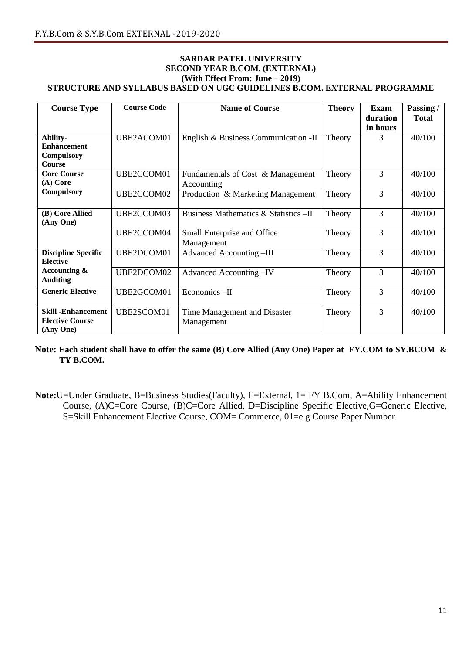#### **SARDAR PATEL UNIVERSITY SECOND YEAR B.COM. (EXTERNAL) (With Effect From: June – 2019) STRUCTURE AND SYLLABUS BASED ON UGC GUIDELINES B.COM. EXTERNAL PROGRAMME**

| <b>Course Type</b>         | <b>Course Code</b> | <b>Name of Course</b>                  | <b>Theory</b> | <b>Exam</b> | Passing/     |
|----------------------------|--------------------|----------------------------------------|---------------|-------------|--------------|
|                            |                    |                                        |               | duration    | <b>Total</b> |
|                            |                    |                                        |               | in hours    |              |
| Ability-                   | UBE2ACOM01         | English & Business Communication -II   | Theory        | 3           | 40/100       |
| <b>Enhancement</b>         |                    |                                        |               |             |              |
| <b>Compulsory</b>          |                    |                                        |               |             |              |
| <b>Course</b>              |                    |                                        |               |             |              |
| <b>Core Course</b>         | UBE2CCOM01         | Fundamentals of Cost & Management      | Theory        | 3           | 40/100       |
| $(A)$ Core                 |                    | Accounting                             |               |             |              |
| <b>Compulsory</b>          | UBE2CCOM02         | Production & Marketing Management      | Theory        | 3           | 40/100       |
|                            |                    |                                        |               |             |              |
| (B) Core Allied            | UBE2CCOM03         | Business Mathematics & Statistics - II | Theory        | 3           | 40/100       |
| (Any One)                  |                    |                                        |               |             |              |
|                            | UBE2CCOM04         | Small Enterprise and Office            | Theory        | 3           | 40/100       |
|                            |                    | Management                             |               |             |              |
| <b>Discipline Specific</b> | UBE2DCOM01         | Advanced Accounting -III               | Theory        | 3           | 40/100       |
| <b>Elective</b>            |                    |                                        |               |             |              |
| Accounting $\&$            | UBE2DCOM02         | Advanced Accounting - IV               | Theory        | 3           | 40/100       |
| <b>Auditing</b>            |                    |                                        |               |             |              |
| <b>Generic Elective</b>    | UBE2GCOM01         | Economics-II                           | Theory        | 3           | 40/100       |
|                            |                    |                                        |               |             |              |
| <b>Skill -Enhancement</b>  | UBE2SCOM01         | Time Management and Disaster           | Theory        | 3           | 40/100       |
| <b>Elective Course</b>     |                    | Management                             |               |             |              |
| (Any One)                  |                    |                                        |               |             |              |

## **Note: Each student shall have to offer the same (B) Core Allied (Any One) Paper at FY.COM to SY.BCOM & TY B.COM.**

**Note:**U=Under Graduate, B=Business Studies(Faculty), E=External, 1= FY B.Com, A=Ability Enhancement Course, (A)C=Core Course, (B)C=Core Allied, D=Discipline Specific Elective,G=Generic Elective, S=Skill Enhancement Elective Course, COM= Commerce, 01=e.g Course Paper Number.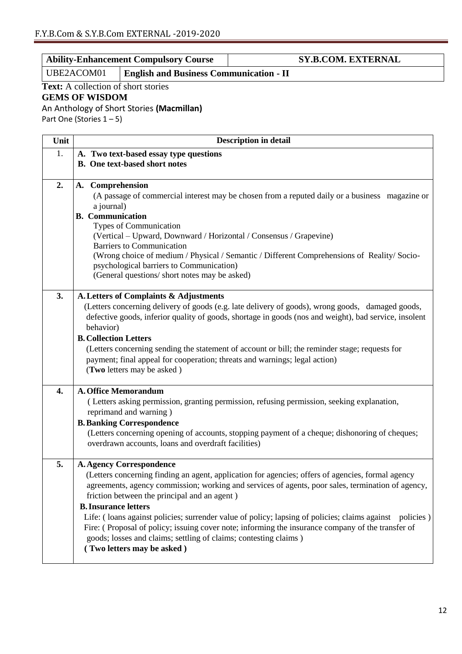**Ability-Enhancement Compulsory Course SY.B.COM. EXTERNAL**

UBE2ACOM01 **English and Business Communication - II**

Text: A collection of short stories

## **GEMS OF WISDOM**

An Anthology of Short Stories **(Macmillan)**

Part One (Stories 1-5)

| Unit | <b>Description in detail</b>                                                                                 |  |  |
|------|--------------------------------------------------------------------------------------------------------------|--|--|
| 1.   | A. Two text-based essay type questions                                                                       |  |  |
|      | <b>B.</b> One text-based short notes                                                                         |  |  |
|      |                                                                                                              |  |  |
| 2.   | A. Comprehension                                                                                             |  |  |
|      | (A passage of commercial interest may be chosen from a reputed daily or a business magazine or<br>a journal) |  |  |
|      | <b>B.</b> Communication                                                                                      |  |  |
|      | Types of Communication                                                                                       |  |  |
|      | (Vertical - Upward, Downward / Horizontal / Consensus / Grapevine)                                           |  |  |
|      | <b>Barriers to Communication</b>                                                                             |  |  |
|      | (Wrong choice of medium / Physical / Semantic / Different Comprehensions of Reality/ Socio-                  |  |  |
|      | psychological barriers to Communication)                                                                     |  |  |
|      | (General questions/ short notes may be asked)                                                                |  |  |
| 3.   | A. Letters of Complaints & Adjustments                                                                       |  |  |
|      | (Letters concerning delivery of goods (e.g. late delivery of goods), wrong goods, damaged goods,             |  |  |
|      | defective goods, inferior quality of goods, shortage in goods (nos and weight), bad service, insolent        |  |  |
|      | behavior)                                                                                                    |  |  |
|      | <b>B. Collection Letters</b>                                                                                 |  |  |
|      | (Letters concerning sending the statement of account or bill; the reminder stage; requests for               |  |  |
|      | payment; final appeal for cooperation; threats and warnings; legal action)                                   |  |  |
|      | (Two letters may be asked)                                                                                   |  |  |
| 4.   | <b>A. Office Memorandum</b>                                                                                  |  |  |
|      | (Letters asking permission, granting permission, refusing permission, seeking explanation,                   |  |  |
|      | reprimand and warning)                                                                                       |  |  |
|      | <b>B. Banking Correspondence</b>                                                                             |  |  |
|      | (Letters concerning opening of accounts, stopping payment of a cheque; dishonoring of cheques;               |  |  |
|      | overdrawn accounts, loans and overdraft facilities)                                                          |  |  |
| 5.   | <b>A. Agency Correspondence</b>                                                                              |  |  |
|      | (Letters concerning finding an agent, application for agencies; offers of agencies, formal agency            |  |  |
|      | agreements, agency commission; working and services of agents, poor sales, termination of agency,            |  |  |
|      | friction between the principal and an agent)                                                                 |  |  |
|      | <b>B. Insurance letters</b>                                                                                  |  |  |
|      | Life: (loans against policies; surrender value of policy; lapsing of policies; claims against policies)      |  |  |
|      | Fire: (Proposal of policy; issuing cover note; informing the insurance company of the transfer of            |  |  |
|      | goods; losses and claims; settling of claims; contesting claims)                                             |  |  |
|      | (Two letters may be asked)                                                                                   |  |  |
|      |                                                                                                              |  |  |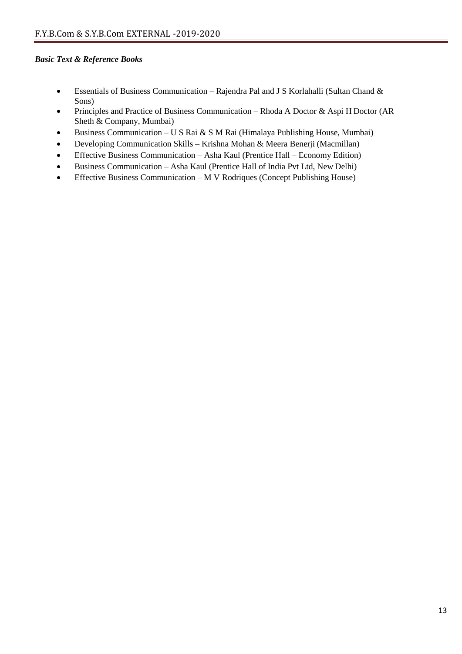- Essentials of Business Communication Rajendra Pal and J S Korlahalli (Sultan Chand & Sons)
- Principles and Practice of Business Communication Rhoda A Doctor & Aspi H Doctor (AR Sheth & Company, Mumbai)
- Business Communication U S Rai & S M Rai (Himalaya Publishing House, Mumbai)
- Developing Communication Skills Krishna Mohan & Meera Benerji (Macmillan)
- Effective Business Communication Asha Kaul (Prentice Hall Economy Edition)
- Business Communication Asha Kaul (Prentice Hall of India Pvt Ltd, New Delhi)
- Effective Business Communication M V Rodriques (Concept Publishing House)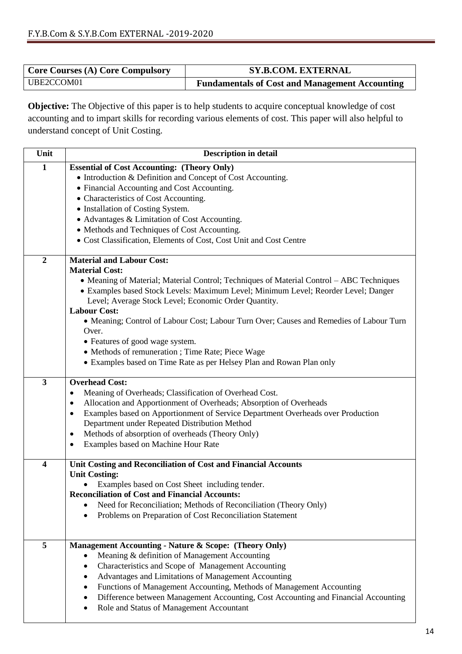| <b>Core Courses (A) Core Compulsory</b> | <b>SY.B.COM. EXTERNAL</b>                             |
|-----------------------------------------|-------------------------------------------------------|
| UBE2CCOM01                              | <b>Fundamentals of Cost and Management Accounting</b> |

**Objective:** The Objective of this paper is to help students to acquire conceptual knowledge of cost accounting and to impart skills for recording various elements of cost. This paper will also helpful to understand concept of Unit Costing.

| Unit                    | <b>Description in detail</b>                                                                                                                                                                                                                                                                                                                                                                                                                                                                                                                                                                   |  |  |  |
|-------------------------|------------------------------------------------------------------------------------------------------------------------------------------------------------------------------------------------------------------------------------------------------------------------------------------------------------------------------------------------------------------------------------------------------------------------------------------------------------------------------------------------------------------------------------------------------------------------------------------------|--|--|--|
| $\mathbf{1}$            | <b>Essential of Cost Accounting: (Theory Only)</b><br>• Introduction & Definition and Concept of Cost Accounting.<br>• Financial Accounting and Cost Accounting.<br>• Characteristics of Cost Accounting.<br>• Installation of Costing System.<br>• Advantages & Limitation of Cost Accounting.<br>• Methods and Techniques of Cost Accounting.<br>• Cost Classification, Elements of Cost, Cost Unit and Cost Centre                                                                                                                                                                          |  |  |  |
| $\overline{2}$          | <b>Material and Labour Cost:</b><br><b>Material Cost:</b><br>• Meaning of Material; Material Control; Techniques of Material Control – ABC Techniques<br>• Examples based Stock Levels: Maximum Level; Minimum Level; Reorder Level; Danger<br>Level; Average Stock Level; Economic Order Quantity.<br><b>Labour Cost:</b><br>• Meaning; Control of Labour Cost; Labour Turn Over; Causes and Remedies of Labour Turn<br>Over.<br>• Features of good wage system.<br>• Methods of remuneration ; Time Rate; Piece Wage<br>• Examples based on Time Rate as per Helsey Plan and Rowan Plan only |  |  |  |
| $\mathbf{3}$            | <b>Overhead Cost:</b><br>Meaning of Overheads; Classification of Overhead Cost.<br>$\bullet$<br>Allocation and Apportionment of Overheads; Absorption of Overheads<br>٠<br>Examples based on Apportionment of Service Department Overheads over Production<br>$\bullet$<br>Department under Repeated Distribution Method<br>Methods of absorption of overheads (Theory Only)<br>٠<br>Examples based on Machine Hour Rate<br>$\bullet$                                                                                                                                                          |  |  |  |
| $\overline{\mathbf{4}}$ | Unit Costing and Reconciliation of Cost and Financial Accounts<br><b>Unit Costing:</b><br>Examples based on Cost Sheet including tender.<br><b>Reconciliation of Cost and Financial Accounts:</b><br>Need for Reconciliation; Methods of Reconciliation (Theory Only)<br>Problems on Preparation of Cost Reconciliation Statement<br>$\bullet$                                                                                                                                                                                                                                                 |  |  |  |
| 5                       | Management Accounting - Nature & Scope: (Theory Only)<br>Meaning & definition of Management Accounting<br>٠<br>Characteristics and Scope of Management Accounting<br>$\bullet$<br>Advantages and Limitations of Management Accounting<br>٠<br>Functions of Management Accounting, Methods of Management Accounting<br>Difference between Management Accounting, Cost Accounting and Financial Accounting<br>Role and Status of Management Accountant                                                                                                                                           |  |  |  |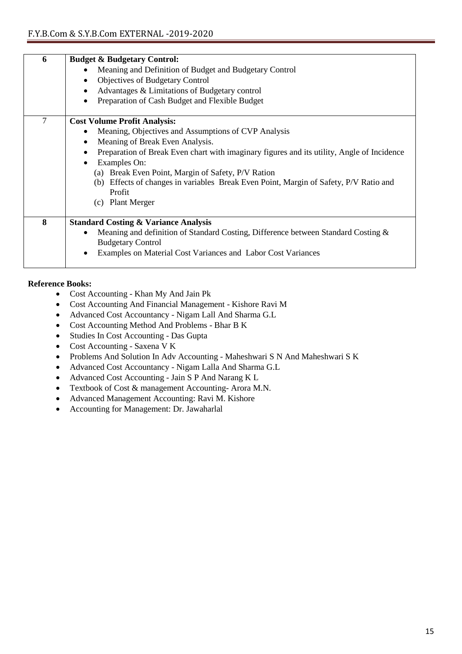| 6 | <b>Budget &amp; Budgetary Control:</b><br>Meaning and Definition of Budget and Budgetary Control<br><b>Objectives of Budgetary Control</b><br>Advantages & Limitations of Budgetary control<br>Preparation of Cash Budget and Flexible Budget                                                                                                                                                                            |
|---|--------------------------------------------------------------------------------------------------------------------------------------------------------------------------------------------------------------------------------------------------------------------------------------------------------------------------------------------------------------------------------------------------------------------------|
| 7 | <b>Cost Volume Profit Analysis:</b><br>Meaning, Objectives and Assumptions of CVP Analysis<br>Meaning of Break Even Analysis.<br>Preparation of Break Even chart with imaginary figures and its utility, Angle of Incidence<br>Examples On:<br>(a) Break Even Point, Margin of Safety, P/V Ration<br>(b) Effects of changes in variables Break Even Point, Margin of Safety, P/V Ratio and<br>Profit<br>(c) Plant Merger |
| 8 | <b>Standard Costing &amp; Variance Analysis</b><br>Meaning and definition of Standard Costing, Difference between Standard Costing &<br><b>Budgetary Control</b><br>Examples on Material Cost Variances and Labor Cost Variances                                                                                                                                                                                         |

## **Reference Books:**

- Cost Accounting Khan My And Jain Pk
- Cost Accounting And Financial Management Kishore Ravi M
- Advanced Cost Accountancy Nigam Lall And Sharma G.L
- Cost Accounting Method And Problems Bhar B K
- Studies In Cost Accounting Das Gupta
- Cost Accounting Saxena V K
- Problems And Solution In Adv Accounting Maheshwari S N And Maheshwari S K
- Advanced Cost Accountancy Nigam Lalla And Sharma G.L
- Advanced Cost Accounting Jain S P And Narang K L
- Textbook of Cost & management Accounting-Arora M.N.
- Advanced Management Accounting: Ravi M. Kishore
- Accounting for Management: Dr. Jawaharlal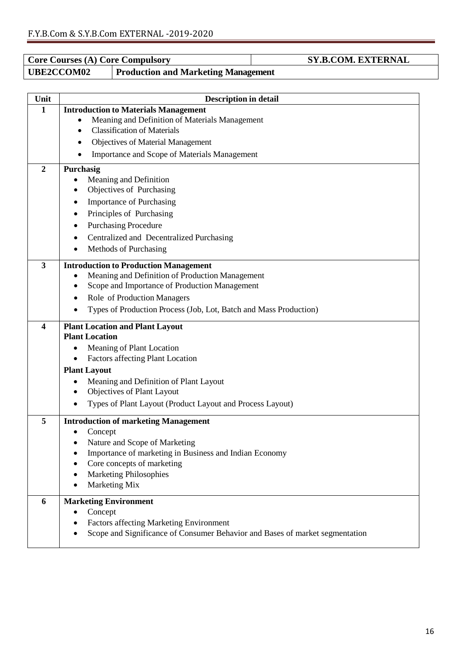|                                                          | <b>Core Courses (A) Core Compulsory</b>                                                                                 | <b>SY.B.COM. EXTERNAL</b> |  |
|----------------------------------------------------------|-------------------------------------------------------------------------------------------------------------------------|---------------------------|--|
| UBE2CCOM02<br><b>Production and Marketing Management</b> |                                                                                                                         |                           |  |
|                                                          |                                                                                                                         |                           |  |
| Unit                                                     | <b>Description in detail</b>                                                                                            |                           |  |
| $\mathbf{1}$                                             | <b>Introduction to Materials Management</b>                                                                             |                           |  |
|                                                          | Meaning and Definition of Materials Management                                                                          |                           |  |
|                                                          | <b>Classification of Materials</b>                                                                                      |                           |  |
|                                                          | <b>Objectives of Material Management</b>                                                                                |                           |  |
|                                                          | Importance and Scope of Materials Management                                                                            |                           |  |
| $\overline{2}$                                           | Purchasig                                                                                                               |                           |  |
|                                                          | Meaning and Definition<br>٠                                                                                             |                           |  |
|                                                          | Objectives of Purchasing<br>٠                                                                                           |                           |  |
|                                                          | <b>Importance of Purchasing</b><br>$\bullet$                                                                            |                           |  |
|                                                          | Principles of Purchasing<br>$\bullet$                                                                                   |                           |  |
|                                                          | <b>Purchasing Procedure</b><br>٠                                                                                        |                           |  |
|                                                          | Centralized and Decentralized Purchasing                                                                                |                           |  |
|                                                          | Methods of Purchasing<br>$\bullet$                                                                                      |                           |  |
| $\overline{\mathbf{3}}$                                  | <b>Introduction to Production Management</b>                                                                            |                           |  |
|                                                          | Meaning and Definition of Production Management<br>$\bullet$                                                            |                           |  |
|                                                          | Scope and Importance of Production Management<br>٠                                                                      |                           |  |
|                                                          | Role of Production Managers<br>$\bullet$                                                                                |                           |  |
|                                                          | Types of Production Process (Job, Lot, Batch and Mass Production)<br>$\bullet$                                          |                           |  |
| 4                                                        | <b>Plant Location and Plant Layout</b>                                                                                  |                           |  |
|                                                          | <b>Plant Location</b>                                                                                                   |                           |  |
|                                                          | Meaning of Plant Location<br>$\bullet$                                                                                  |                           |  |
|                                                          | Factors affecting Plant Location<br>$\bullet$                                                                           |                           |  |
|                                                          | <b>Plant Layout</b>                                                                                                     |                           |  |
|                                                          | Meaning and Definition of Plant Layout                                                                                  |                           |  |
|                                                          | Objectives of Plant Layout<br>$\bullet$                                                                                 |                           |  |
|                                                          | Types of Plant Layout (Product Layout and Process Layout)                                                               |                           |  |
| 5                                                        | <b>Introduction of marketing Management</b>                                                                             |                           |  |
|                                                          | Concept<br>$\bullet$                                                                                                    |                           |  |
|                                                          | Nature and Scope of Marketing                                                                                           |                           |  |
|                                                          | Importance of marketing in Business and Indian Economy<br>٠                                                             |                           |  |
|                                                          | Core concepts of marketing<br>٠                                                                                         |                           |  |
|                                                          | ٠                                                                                                                       |                           |  |
|                                                          | <b>Marketing Philosophies</b>                                                                                           |                           |  |
|                                                          | Marketing Mix                                                                                                           |                           |  |
| 6                                                        | <b>Marketing Environment</b>                                                                                            |                           |  |
|                                                          | Concept<br>٠                                                                                                            |                           |  |
|                                                          | Factors affecting Marketing Environment<br>Scope and Significance of Consumer Behavior and Bases of market segmentation |                           |  |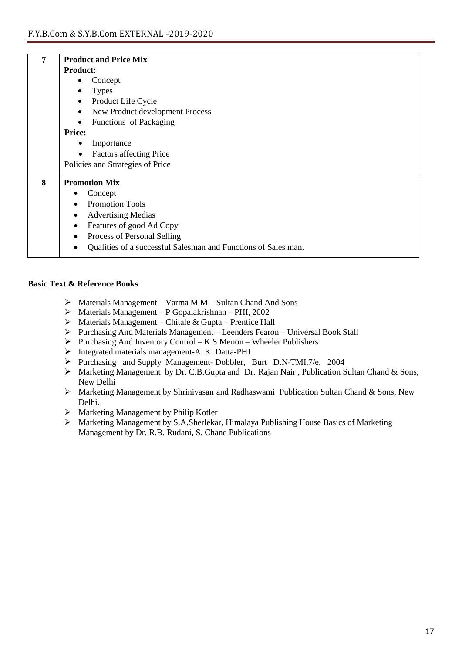| 7 | <b>Product and Price Mix</b>                                   |  |  |  |  |
|---|----------------------------------------------------------------|--|--|--|--|
|   | <b>Product:</b>                                                |  |  |  |  |
|   | Concept                                                        |  |  |  |  |
|   | <b>Types</b>                                                   |  |  |  |  |
|   | Product Life Cycle                                             |  |  |  |  |
|   | New Product development Process                                |  |  |  |  |
|   | Functions of Packaging                                         |  |  |  |  |
|   | <b>Price:</b>                                                  |  |  |  |  |
|   | Importance                                                     |  |  |  |  |
|   | <b>Factors affecting Price</b>                                 |  |  |  |  |
|   | Policies and Strategies of Price                               |  |  |  |  |
| 8 | <b>Promotion Mix</b>                                           |  |  |  |  |
|   | Concept                                                        |  |  |  |  |
|   | <b>Promotion Tools</b><br>$\bullet$                            |  |  |  |  |
|   | <b>Advertising Medias</b><br>٠                                 |  |  |  |  |
|   | Features of good Ad Copy<br>٠                                  |  |  |  |  |
|   | Process of Personal Selling                                    |  |  |  |  |
|   | Qualities of a successful Salesman and Functions of Sales man. |  |  |  |  |

- $\triangleright$  Materials Management Varma M M Sultan Chand And Sons
- Materials Management P Gopalakrishnan PHI, 2002
- $\triangleright$  Materials Management Chitale & Gupta Prentice Hall
- Purchasing And Materials Management Leenders Fearon Universal Book Stall
- $\triangleright$  Purchasing And Inventory Control K S Menon Wheeler Publishers
- Integrated materials management-A. K. Datta-PHI
- Purchasing and Supply Management- Dobbler, Burt D.N-TMI,7/e, 2004
- Marketing Management by Dr. C.B.Gupta and Dr. Rajan Nair , Publication Sultan Chand & Sons, New Delhi
- Marketing Management by Shrinivasan and Radhaswami Publication Sultan Chand & Sons, New Delhi.
- $\triangleright$  Marketing Management by Philip Kotler
- Marketing Management by S.A.Sherlekar, Himalaya Publishing House Basics of Marketing Management by Dr. R.B. Rudani, S. Chand Publications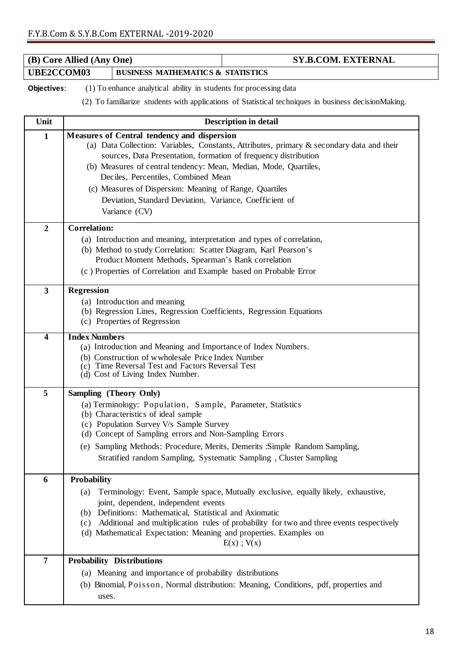| (B) Core Allied (Any One) |  |                                                                   | <b>SY.B.COM. EXTERNAL</b>                                                                            |
|---------------------------|--|-------------------------------------------------------------------|------------------------------------------------------------------------------------------------------|
| UBE2CCOM03                |  | <b>BUSINESS MATHEMATICS &amp; STATISTICS</b>                      |                                                                                                      |
| Objectives:               |  | (1) To enhance analytical ability in students for processing data |                                                                                                      |
|                           |  |                                                                   | (2) To familiarize students with applications of Statistical techniques in business decision Making. |

| Unit           | <b>Description in detail</b>                                                                                                                                                                                                                                                                                                                                                                                                                                  |  |  |
|----------------|---------------------------------------------------------------------------------------------------------------------------------------------------------------------------------------------------------------------------------------------------------------------------------------------------------------------------------------------------------------------------------------------------------------------------------------------------------------|--|--|
| $\mathbf{1}$   | Measures of Central tendency and dispersion<br>(a) Data Collection: Variables, Constants, Attributes, primary & secondary data and their<br>sources, Data Presentation, formation of frequency distribution<br>(b) Measures of central tendency: Mean, Median, Mode, Quartiles,<br>Deciles, Percentiles, Combined Mean<br>(c) Measures of Dispersion: Meaning of Range, Quartiles<br>Deviation, Standard Deviation, Variance, Coefficient of<br>Variance (CV) |  |  |
| $\overline{2}$ | <b>Correlation:</b><br>(a) Introduction and meaning, interpretation and types of correlation,<br>(b) Method to study Correlation: Scatter Diagram, Karl Pearson's<br>Product Moment Methods, Spearman's Rank correlation<br>(c) Properties of Correlation and Example based on Probable Error                                                                                                                                                                 |  |  |
| $\mathbf{3}$   | <b>Regression</b><br>(a) Introduction and meaning<br>(b) Regression Lines, Regression Coefficients, Regression Equations<br>(c) Properties of Regression                                                                                                                                                                                                                                                                                                      |  |  |
| 4              | <b>Index Numbers</b><br>(a) Introduction and Meaning and Importance of Index Numbers.<br>(b) Construction of wwholesale Price Index Number<br>(c) Time Reversal Test and Factors Reversal Test<br>(d) Cost of Living Index Number.                                                                                                                                                                                                                            |  |  |
| 5              | Sampling (Theory Only)<br>(a) Terminology: Population, Sample, Parameter, Statistics<br>(b) Characteristics of ideal sample<br>(c) Population Survey V/s Sample Survey<br>(d) Concept of Sampling errors and Non-Sampling Errors<br>(e) Sampling Methods: Procedure, Merits, Demerits : Simple Random Sampling,<br>Stratified random Sampling, Systematic Sampling, Cluster Sampling                                                                          |  |  |
| 6              | Probability<br>Terminology: Event, Sample space, Mutually exclusive, equally likely, exhaustive,<br>(a)<br>joint, dependent, independent events<br>(b) Definitions: Mathematical, Statistical and Axiomatic<br>Additional and multiplication rules of probability for two and three events respectively<br>(c)<br>(d) Mathematical Expectation: Meaning and properties. Examples on<br>$E(x)$ ; $V(x)$                                                        |  |  |
| 7              | <b>Probability Distributions</b><br>(a) Meaning and importance of probability distributions<br>(b) Binomial, Poisson, Normal distribution: Meaning, Conditions, pdf, properties and<br>uses.                                                                                                                                                                                                                                                                  |  |  |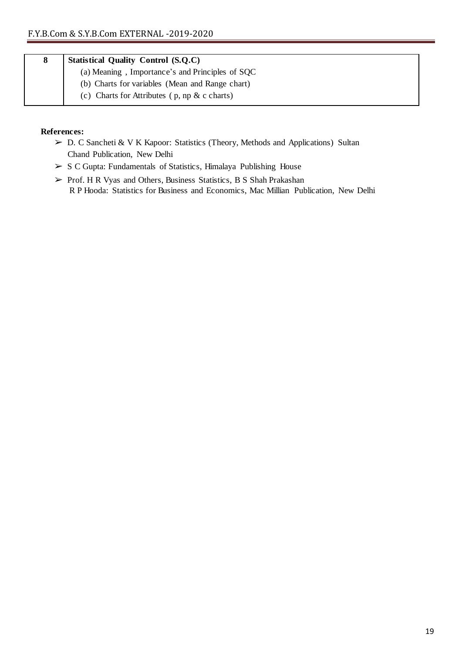| 8 | <b>Statistical Quality Control (S.Q.C)</b>          |
|---|-----------------------------------------------------|
|   | (a) Meaning, Importance's and Principles of SQC     |
|   | (b) Charts for variables (Mean and Range chart)     |
|   | (c) Charts for Attributes ( $p$ , $np \& c$ charts) |

- ➢ D. C Sancheti & V K Kapoor: Statistics (Theory, Methods and Applications) Sultan Chand Publication, New Delhi
- ➢ S C Gupta: Fundamentals of Statistics, Himalaya Publishing House
- ➢ Prof. H R Vyas and Others, Business Statistics, B S Shah Prakashan R P Hooda: Statistics for Business and Economics, Mac Millian Publication, New Delhi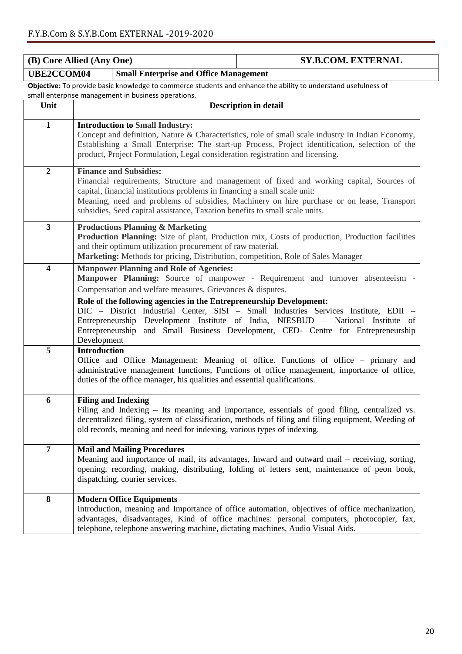| (B) Core Allied (Any One) |                                                                                                                                                                                                                                                                                                                                                                                                                                                                                                                                                      |                                                                                                                         | <b>SY.B.COM. EXTERNAL</b>                                                                                                                                                                            |
|---------------------------|------------------------------------------------------------------------------------------------------------------------------------------------------------------------------------------------------------------------------------------------------------------------------------------------------------------------------------------------------------------------------------------------------------------------------------------------------------------------------------------------------------------------------------------------------|-------------------------------------------------------------------------------------------------------------------------|------------------------------------------------------------------------------------------------------------------------------------------------------------------------------------------------------|
| UBE2CCOM04                |                                                                                                                                                                                                                                                                                                                                                                                                                                                                                                                                                      | <b>Small Enterprise and Office Management</b>                                                                           |                                                                                                                                                                                                      |
|                           |                                                                                                                                                                                                                                                                                                                                                                                                                                                                                                                                                      | small enterprise management in business operations.                                                                     | Objective: To provide basic knowledge to commerce students and enhance the ability to understand usefulness of                                                                                       |
| Unit                      | <b>Description in detail</b>                                                                                                                                                                                                                                                                                                                                                                                                                                                                                                                         |                                                                                                                         |                                                                                                                                                                                                      |
| $\mathbf{1}$              |                                                                                                                                                                                                                                                                                                                                                                                                                                                                                                                                                      | <b>Introduction to Small Industry:</b><br>product, Project Formulation, Legal consideration registration and licensing. | Concept and definition, Nature & Characteristics, role of small scale industry In Indian Economy,<br>Establishing a Small Enterprise: The start-up Process, Project identification, selection of the |
| $\boldsymbol{2}$          | <b>Finance and Subsidies:</b><br>Financial requirements, Structure and management of fixed and working capital, Sources of<br>capital, financial institutions problems in financing a small scale unit:<br>Meaning, need and problems of subsidies, Machinery on hire purchase or on lease, Transport<br>subsidies, Seed capital assistance, Taxation benefits to small scale units.                                                                                                                                                                 |                                                                                                                         |                                                                                                                                                                                                      |
| $\overline{\mathbf{3}}$   | <b>Productions Planning &amp; Marketing</b><br>Production Planning: Size of plant, Production mix, Costs of production, Production facilities<br>and their optimum utilization procurement of raw material.<br>Marketing: Methods for pricing, Distribution, competition, Role of Sales Manager                                                                                                                                                                                                                                                      |                                                                                                                         |                                                                                                                                                                                                      |
| $\overline{\mathbf{4}}$   | <b>Manpower Planning and Role of Agencies:</b><br>Manpower Planning: Source of manpower - Requirement and turnover absenteeism -<br>Compensation and welfare measures, Grievances & disputes.<br>Role of the following agencies in the Entrepreneurship Development:<br>DIC - District Industrial Center, SISI - Small Industries Services Institute, EDII -<br>Entrepreneurship Development Institute of India, NIESBUD - National Institute of<br>Entrepreneurship and Small Business Development, CED- Centre for Entrepreneurship<br>Development |                                                                                                                         |                                                                                                                                                                                                      |
| 5                         | <b>Introduction</b><br>Office and Office Management: Meaning of office. Functions of office – primary and<br>administrative management functions, Functions of office management, importance of office,<br>duties of the office manager, his qualities and essential qualifications.                                                                                                                                                                                                                                                                 |                                                                                                                         |                                                                                                                                                                                                      |
| 6                         |                                                                                                                                                                                                                                                                                                                                                                                                                                                                                                                                                      | <b>Filing and Indexing</b><br>old records, meaning and need for indexing, various types of indexing.                    | Filing and Indexing – Its meaning and importance, essentials of good filing, centralized vs.<br>decentralized filing, system of classification, methods of filing and filing equipment, Weeding of   |
| $\overline{7}$            | <b>Mail and Mailing Procedures</b><br>Meaning and importance of mail, its advantages, Inward and outward mail – receiving, sorting,<br>opening, recording, making, distributing, folding of letters sent, maintenance of peon book,<br>dispatching, courier services.                                                                                                                                                                                                                                                                                |                                                                                                                         |                                                                                                                                                                                                      |
| $\bf{8}$                  |                                                                                                                                                                                                                                                                                                                                                                                                                                                                                                                                                      | <b>Modern Office Equipments</b><br>telephone, telephone answering machine, dictating machines, Audio Visual Aids.       | Introduction, meaning and Importance of office automation, objectives of office mechanization,<br>advantages, disadvantages, Kind of office machines: personal computers, photocopier, fax,          |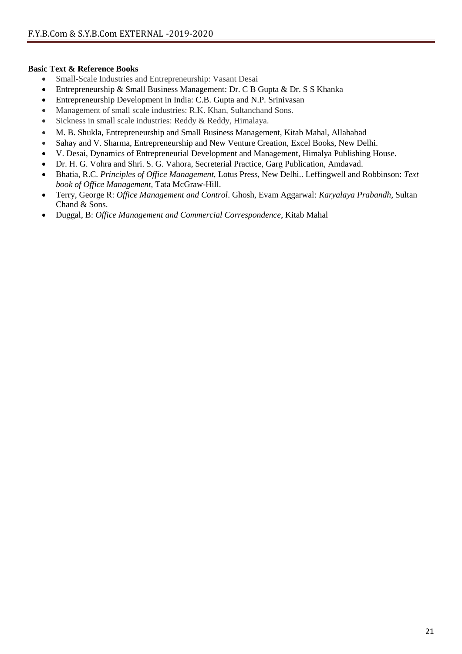- Small-Scale Industries and Entrepreneurship: Vasant Desai
- Entrepreneurship & Small Business Management: Dr. C B Gupta & Dr. S S Khanka
- Entrepreneurship Development in India: C.B. Gupta and N.P. Srinivasan
- Management of small scale industries: R.K. Khan, Sultanchand Sons.
- Sickness in small scale industries: Reddy & Reddy, Himalaya.
- M. B. Shukla, Entrepreneurship and Small Business Management, Kitab Mahal, Allahabad
- Sahay and V. Sharma, Entrepreneurship and New Venture Creation, Excel Books, New Delhi.
- V. Desai, Dynamics of Entrepreneurial Development and Management, Himalya Publishing House.
- Dr. H. G. Vohra and Shri. S. G. Vahora, Secreterial Practice, Garg Publication, Amdavad.
- Bhatia, R.C. *Principles of Office Management*, Lotus Press, New Delhi.. Leffingwell and Robbinson: *Text book of Office Management*, Tata McGraw-Hill.
- Terry, George R: *Office Management and Control*. Ghosh, Evam Aggarwal: *Karyalaya Prabandh*, Sultan Chand & Sons.
- Duggal, B: *Office Management and Commercial Correspondence*, Kitab Mahal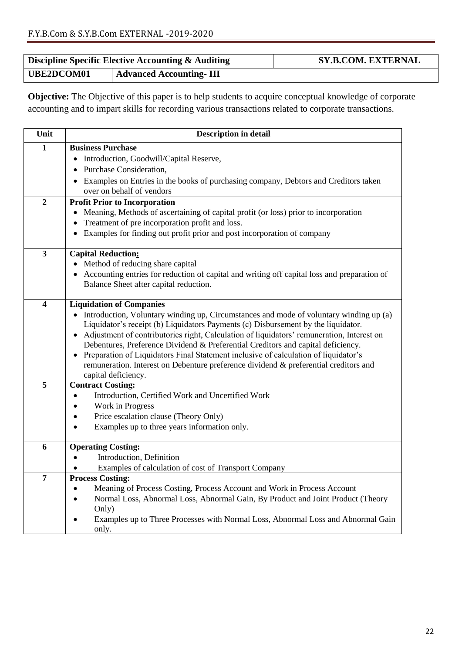| Discipline Specific Elective Accounting & Auditing |                          | <b>SY.B.COM. EXTERNAL</b> |
|----------------------------------------------------|--------------------------|---------------------------|
| <b>UBE2DCOM01</b>                                  | Advanced Accounting- III |                           |

**Objective:** The Objective of this paper is to help students to acquire conceptual knowledge of corporate accounting and to impart skills for recording various transactions related to corporate transactions.

| Unit                    | <b>Description in detail</b>                                                                           |  |  |
|-------------------------|--------------------------------------------------------------------------------------------------------|--|--|
| $\mathbf{1}$            | <b>Business Purchase</b>                                                                               |  |  |
|                         | Introduction, Goodwill/Capital Reserve,<br>٠                                                           |  |  |
|                         | Purchase Consideration,<br>٠                                                                           |  |  |
|                         | Examples on Entries in the books of purchasing company, Debtors and Creditors taken<br>$\bullet$       |  |  |
|                         | over on behalf of vendors                                                                              |  |  |
| $\overline{2}$          | <b>Profit Prior to Incorporation</b>                                                                   |  |  |
|                         | Meaning, Methods of ascertaining of capital profit (or loss) prior to incorporation<br>$\bullet$       |  |  |
|                         | Treatment of pre incorporation profit and loss.<br>$\bullet$                                           |  |  |
|                         | Examples for finding out profit prior and post incorporation of company<br>٠                           |  |  |
| $\mathbf{3}$            | <b>Capital Reduction:</b>                                                                              |  |  |
|                         | • Method of reducing share capital                                                                     |  |  |
|                         | • Accounting entries for reduction of capital and writing off capital loss and preparation of          |  |  |
|                         | Balance Sheet after capital reduction.                                                                 |  |  |
| $\overline{\mathbf{4}}$ | <b>Liquidation of Companies</b>                                                                        |  |  |
|                         | Introduction, Voluntary winding up, Circumstances and mode of voluntary winding up (a)<br>$\bullet$    |  |  |
|                         | Liquidator's receipt (b) Liquidators Payments (c) Disbursement by the liquidator.                      |  |  |
|                         | Adjustment of contributories right, Calculation of liquidators' remuneration, Interest on<br>$\bullet$ |  |  |
|                         | Debentures, Preference Dividend & Preferential Creditors and capital deficiency.                       |  |  |
|                         | Preparation of Liquidators Final Statement inclusive of calculation of liquidator's<br>٠               |  |  |
|                         | remuneration. Interest on Debenture preference dividend & preferential creditors and                   |  |  |
|                         | capital deficiency.                                                                                    |  |  |
| 5                       | <b>Contract Costing:</b>                                                                               |  |  |
|                         | Introduction, Certified Work and Uncertified Work<br>$\bullet$<br>Work in Progress                     |  |  |
|                         | Price escalation clause (Theory Only)<br>٠                                                             |  |  |
|                         | Examples up to three years information only.<br>$\bullet$                                              |  |  |
|                         |                                                                                                        |  |  |
| 6                       | <b>Operating Costing:</b>                                                                              |  |  |
|                         | Introduction, Definition                                                                               |  |  |
|                         | Examples of calculation of cost of Transport Company                                                   |  |  |
| 7                       | <b>Process Costing:</b>                                                                                |  |  |
|                         | Meaning of Process Costing, Process Account and Work in Process Account                                |  |  |
|                         | Normal Loss, Abnormal Loss, Abnormal Gain, By Product and Joint Product (Theory<br>Only)               |  |  |
|                         | Examples up to Three Processes with Normal Loss, Abnormal Loss and Abnormal Gain                       |  |  |
|                         | only.                                                                                                  |  |  |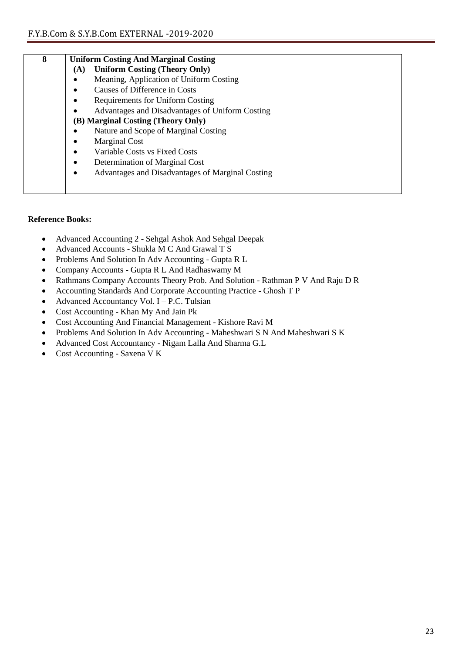| 8 | <b>Uniform Costing And Marginal Costing</b> |                                                  |  |
|---|---------------------------------------------|--------------------------------------------------|--|
|   | (A)                                         | <b>Uniform Costing (Theory Only)</b>             |  |
|   |                                             | Meaning, Application of Uniform Costing          |  |
|   |                                             | Causes of Difference in Costs                    |  |
|   |                                             | Requirements for Uniform Costing                 |  |
|   |                                             | Advantages and Disadvantages of Uniform Costing  |  |
|   | (B) Marginal Costing (Theory Only)          |                                                  |  |
|   |                                             | Nature and Scope of Marginal Costing             |  |
|   |                                             | <b>Marginal Cost</b>                             |  |
|   | $\bullet$                                   | Variable Costs vs Fixed Costs                    |  |
|   | $\bullet$                                   | Determination of Marginal Cost                   |  |
|   |                                             | Advantages and Disadvantages of Marginal Costing |  |
|   |                                             |                                                  |  |
|   |                                             |                                                  |  |

# **Reference Books:**

- Advanced Accounting 2 Sehgal Ashok And Sehgal Deepak
- Advanced Accounts Shukla M C And Grawal T S
- Problems And Solution In Adv Accounting Gupta R L
- Company Accounts Gupta R L And Radhaswamy M
- Rathmans Company Accounts Theory Prob. And Solution Rathman P V And Raju D R
- Accounting Standards And Corporate Accounting Practice Ghosh T P
- Advanced Accountancy Vol. I P.C. Tulsian
- Cost Accounting Khan My And Jain Pk
- Cost Accounting And Financial Management Kishore Ravi M
- Problems And Solution In Adv Accounting Maheshwari S N And Maheshwari S K
- Advanced Cost Accountancy Nigam Lalla And Sharma G.L
- Cost Accounting Saxena V K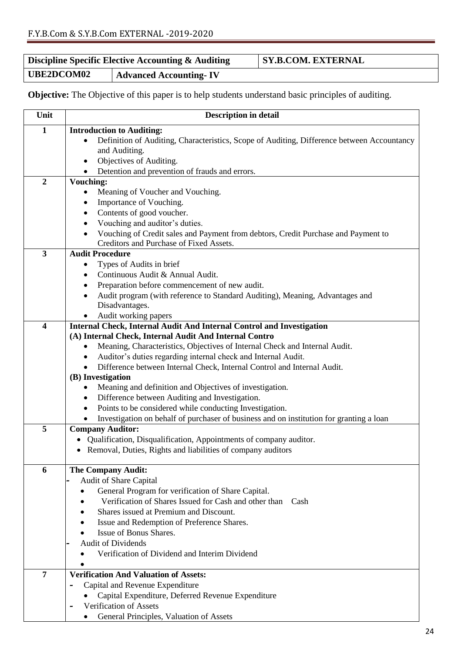|            | Discipline Specific Elective Accounting & Auditing | <b>SY.B.COM. EXTERNAL</b> |
|------------|----------------------------------------------------|---------------------------|
| UBE2DCOM02 | <b>Advanced Accounting-IV</b>                      |                           |

**Objective:** The Objective of this paper is to help students understand basic principles of auditing.

| Unit                    | <b>Description in detail</b>                                                                                                              |  |  |  |
|-------------------------|-------------------------------------------------------------------------------------------------------------------------------------------|--|--|--|
| $\mathbf{1}$            | <b>Introduction to Auditing:</b>                                                                                                          |  |  |  |
|                         | Definition of Auditing, Characteristics, Scope of Auditing, Difference between Accountancy<br>$\bullet$                                   |  |  |  |
|                         | and Auditing.                                                                                                                             |  |  |  |
|                         | Objectives of Auditing.                                                                                                                   |  |  |  |
|                         | Detention and prevention of frauds and errors.                                                                                            |  |  |  |
| $\boldsymbol{2}$        | <b>Vouching:</b>                                                                                                                          |  |  |  |
|                         | Meaning of Voucher and Vouching.                                                                                                          |  |  |  |
|                         | Importance of Vouching.<br>$\bullet$                                                                                                      |  |  |  |
|                         | Contents of good voucher.<br>$\bullet$                                                                                                    |  |  |  |
|                         | Vouching and auditor's duties.<br>$\bullet$                                                                                               |  |  |  |
|                         | Vouching of Credit sales and Payment from debtors, Credit Purchase and Payment to<br>$\bullet$<br>Creditors and Purchase of Fixed Assets. |  |  |  |
| $\mathbf{3}$            | <b>Audit Procedure</b>                                                                                                                    |  |  |  |
|                         | Types of Audits in brief<br>٠                                                                                                             |  |  |  |
|                         | Continuous Audit & Annual Audit.<br>$\bullet$                                                                                             |  |  |  |
|                         | Preparation before commencement of new audit.<br>$\bullet$                                                                                |  |  |  |
|                         | Audit program (with reference to Standard Auditing), Meaning, Advantages and                                                              |  |  |  |
|                         | Disadvantages.                                                                                                                            |  |  |  |
|                         | Audit working papers                                                                                                                      |  |  |  |
| $\overline{\mathbf{4}}$ | Internal Check, Internal Audit And Internal Control and Investigation                                                                     |  |  |  |
|                         | (A) Internal Check, Internal Audit And Internal Contro                                                                                    |  |  |  |
|                         | Meaning, Characteristics, Objectives of Internal Check and Internal Audit.<br>$\bullet$                                                   |  |  |  |
|                         | Auditor's duties regarding internal check and Internal Audit.<br>$\bullet$                                                                |  |  |  |
|                         | Difference between Internal Check, Internal Control and Internal Audit.                                                                   |  |  |  |
|                         | (B) Investigation                                                                                                                         |  |  |  |
|                         | Meaning and definition and Objectives of investigation.                                                                                   |  |  |  |
|                         | Difference between Auditing and Investigation.<br>$\bullet$                                                                               |  |  |  |
|                         | Points to be considered while conducting Investigation.<br>$\bullet$                                                                      |  |  |  |
|                         | Investigation on behalf of purchaser of business and on institution for granting a loan                                                   |  |  |  |
| 5                       | <b>Company Auditor:</b>                                                                                                                   |  |  |  |
|                         | Qualification, Disqualification, Appointments of company auditor.<br>$\bullet$                                                            |  |  |  |
|                         | Removal, Duties, Rights and liabilities of company auditors                                                                               |  |  |  |
|                         |                                                                                                                                           |  |  |  |
| 6                       | The Company Audit:<br>Audit of Share Capital                                                                                              |  |  |  |
|                         | General Program for verification of Share Capital.                                                                                        |  |  |  |
|                         | Verification of Shares Issued for Cash and other than Cash                                                                                |  |  |  |
|                         | Shares issued at Premium and Discount.                                                                                                    |  |  |  |
|                         | Issue and Redemption of Preference Shares.                                                                                                |  |  |  |
|                         | Issue of Bonus Shares.                                                                                                                    |  |  |  |
|                         | <b>Audit of Dividends</b>                                                                                                                 |  |  |  |
|                         | Verification of Dividend and Interim Dividend                                                                                             |  |  |  |
|                         |                                                                                                                                           |  |  |  |
| 7                       | <b>Verification And Valuation of Assets:</b>                                                                                              |  |  |  |
|                         | Capital and Revenue Expenditure                                                                                                           |  |  |  |
|                         | Capital Expenditure, Deferred Revenue Expenditure                                                                                         |  |  |  |
|                         | Verification of Assets                                                                                                                    |  |  |  |
|                         | General Principles, Valuation of Assets                                                                                                   |  |  |  |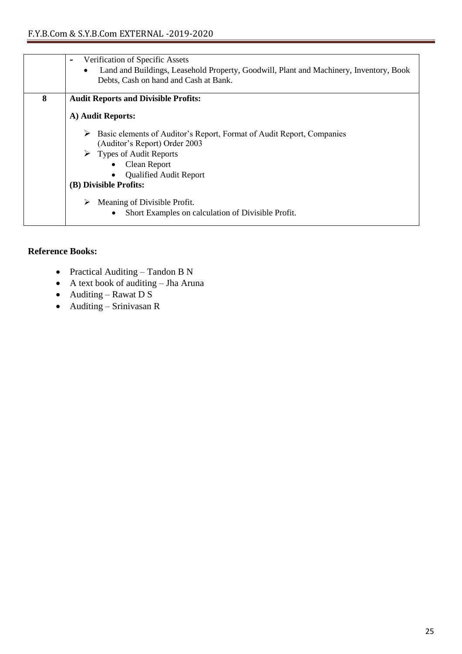|   | Verification of Specific Assets<br>-<br>Land and Buildings, Leasehold Property, Goodwill, Plant and Machinery, Inventory, Book<br>Debts, Cash on hand and Cash at Bank.                                                           |
|---|-----------------------------------------------------------------------------------------------------------------------------------------------------------------------------------------------------------------------------------|
| 8 | <b>Audit Reports and Divisible Profits:</b>                                                                                                                                                                                       |
|   | A) Audit Reports:                                                                                                                                                                                                                 |
|   | Basic elements of Auditor's Report, Format of Audit Report, Companies<br>➤<br>(Auditor's Report) Order 2003<br>$\triangleright$ Types of Audit Reports<br>Clean Report<br><b>Qualified Audit Report</b><br>(B) Divisible Profits: |
|   | Meaning of Divisible Profit.<br>➤<br>Short Examples on calculation of Divisible Profit.<br>$\bullet$                                                                                                                              |

# **Reference Books:**

- Practical Auditing Tandon B N
- A text book of auditing Jha Aruna
- Auditing Rawat D S
- Auditing Srinivasan R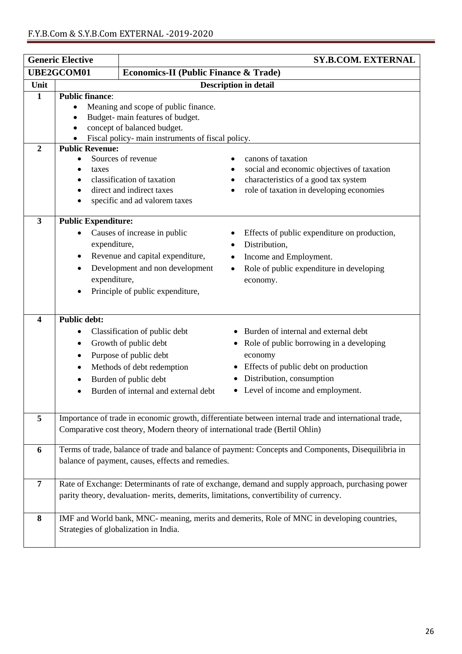|                         | <b>Generic Elective</b>                                                                                                                                                                |                                                                                                                                                                                 | <b>SY.B.COM. EXTERNAL</b>                                                                                                                                                                             |  |  |  |
|-------------------------|----------------------------------------------------------------------------------------------------------------------------------------------------------------------------------------|---------------------------------------------------------------------------------------------------------------------------------------------------------------------------------|-------------------------------------------------------------------------------------------------------------------------------------------------------------------------------------------------------|--|--|--|
| UBE2GCOM01              |                                                                                                                                                                                        | <b>Economics-II (Public Finance &amp; Trade)</b>                                                                                                                                |                                                                                                                                                                                                       |  |  |  |
| Unit                    |                                                                                                                                                                                        |                                                                                                                                                                                 | <b>Description in detail</b>                                                                                                                                                                          |  |  |  |
| $\mathbf{1}$            | <b>Public finance:</b><br>Meaning and scope of public finance.<br>Budget- main features of budget.<br>concept of balanced budget.<br>Fiscal policy- main instruments of fiscal policy. |                                                                                                                                                                                 |                                                                                                                                                                                                       |  |  |  |
| $\overline{2}$          | <b>Public Revenue:</b>                                                                                                                                                                 |                                                                                                                                                                                 |                                                                                                                                                                                                       |  |  |  |
|                         | Sources of revenue<br>taxes<br>classification of taxation<br>direct and indirect taxes<br>specific and ad valorem taxes                                                                | canons of taxation<br>social and economic objectives of taxation<br>characteristics of a good tax system<br>role of taxation in developing economies                            |                                                                                                                                                                                                       |  |  |  |
| $\overline{\mathbf{3}}$ | <b>Public Expenditure:</b><br>expenditure,<br>$\bullet$<br>expenditure,                                                                                                                | Causes of increase in public<br>Revenue and capital expenditure,<br>Development and non development<br>Principle of public expenditure,                                         | Effects of public expenditure on production,<br>Distribution,<br>Income and Employment.<br>Role of public expenditure in developing<br>$\bullet$<br>economy.                                          |  |  |  |
| $\overline{\mathbf{4}}$ | <b>Public debt:</b>                                                                                                                                                                    |                                                                                                                                                                                 |                                                                                                                                                                                                       |  |  |  |
|                         | ٠                                                                                                                                                                                      | Classification of public debt<br>Growth of public debt<br>Purpose of public debt<br>Methods of debt redemption<br>Burden of public debt<br>Burden of internal and external debt | Burden of internal and external debt<br>Role of public borrowing in a developing<br>economy<br>Effects of public debt on production<br>Distribution, consumption<br>• Level of income and employment. |  |  |  |
| 5                       |                                                                                                                                                                                        |                                                                                                                                                                                 | Importance of trade in economic growth, differentiate between internal trade and international trade,                                                                                                 |  |  |  |
|                         |                                                                                                                                                                                        | Comparative cost theory, Modern theory of international trade (Bertil Ohlin)                                                                                                    |                                                                                                                                                                                                       |  |  |  |
| 6                       |                                                                                                                                                                                        | balance of payment, causes, effects and remedies.                                                                                                                               | Terms of trade, balance of trade and balance of payment: Concepts and Components, Disequilibria in                                                                                                    |  |  |  |
| $\overline{7}$          |                                                                                                                                                                                        |                                                                                                                                                                                 | Rate of Exchange: Determinants of rate of exchange, demand and supply approach, purchasing power<br>parity theory, devaluation- merits, demerits, limitations, convertibility of currency.            |  |  |  |
| 8                       |                                                                                                                                                                                        | Strategies of globalization in India.                                                                                                                                           | IMF and World bank, MNC- meaning, merits and demerits, Role of MNC in developing countries,                                                                                                           |  |  |  |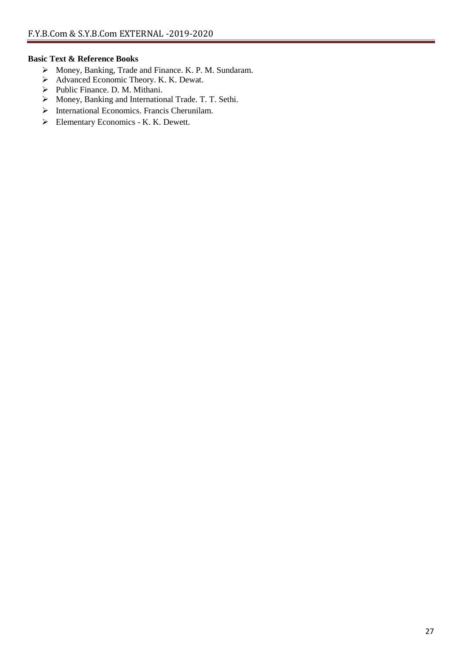- Money, Banking, Trade and Finance. K. P. M. Sundaram.
- Advanced Economic Theory. K. K. Dewat.
- > Public Finance. D. M. Mithani.
- $\triangleright$  Money, Banking and International Trade. T. T. Sethi.
- $\triangleright$  International Economics. Francis Cherunilam.
- Elementary Economics K. K. Dewett.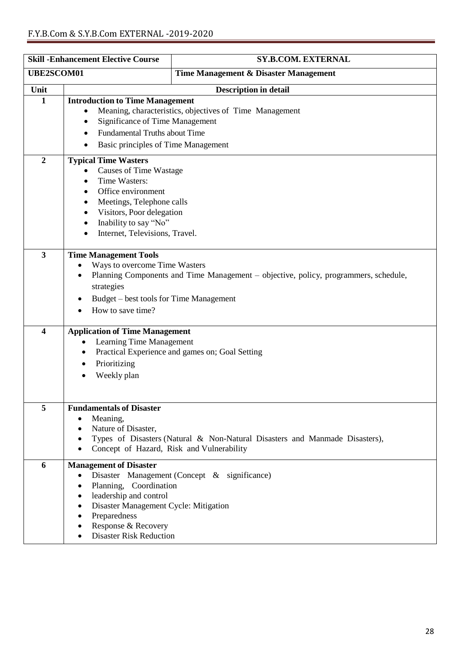|                         | <b>Skill - Enhancement Elective Course</b>                                                                                                                                                                                                                                               | <b>SY.B.COM. EXTERNAL</b>                                                           |  |  |  |
|-------------------------|------------------------------------------------------------------------------------------------------------------------------------------------------------------------------------------------------------------------------------------------------------------------------------------|-------------------------------------------------------------------------------------|--|--|--|
| <b>UBE2SCOM01</b>       |                                                                                                                                                                                                                                                                                          | Time Management & Disaster Management                                               |  |  |  |
| Unit                    | <b>Description in detail</b>                                                                                                                                                                                                                                                             |                                                                                     |  |  |  |
| 1<br>$\overline{2}$     | <b>Introduction to Time Management</b><br>Meaning, characteristics, objectives of Time Management<br><b>Significance of Time Management</b><br>٠<br><b>Fundamental Truths about Time</b><br>$\bullet$<br>Basic principles of Time Management<br>$\bullet$<br><b>Typical Time Wasters</b> |                                                                                     |  |  |  |
|                         | <b>Causes of Time Wastage</b><br>Time Wasters:<br>$\bullet$<br>Office environment<br>$\bullet$<br>Meetings, Telephone calls<br>$\bullet$<br>Visitors, Poor delegation<br>$\bullet$<br>Inability to say "No"<br>Internet, Televisions, Travel.                                            |                                                                                     |  |  |  |
| $\overline{\mathbf{3}}$ | <b>Time Management Tools</b><br>Ways to overcome Time Wasters<br>$\bullet$<br>strategies<br>Budget – best tools for Time Management<br>How to save time?                                                                                                                                 | Planning Components and Time Management – objective, policy, programmers, schedule, |  |  |  |
| $\overline{\mathbf{4}}$ | <b>Application of Time Management</b><br>Learning Time Management<br>Prioritizing<br>٠<br>Weekly plan                                                                                                                                                                                    | Practical Experience and games on; Goal Setting                                     |  |  |  |
| 5                       | <b>Fundamentals of Disaster</b><br>Meaning,<br>٠<br>Nature of Disaster,<br>٠<br>Concept of Hazard, Risk and Vulnerability                                                                                                                                                                | Types of Disasters (Natural & Non-Natural Disasters and Manmade Disasters),         |  |  |  |
| 6                       | <b>Management of Disaster</b><br>$\bullet$<br>Planning, Coordination<br>٠<br>leadership and control<br>٠<br>Disaster Management Cycle: Mitigation<br>Preparedness<br>Response & Recovery<br><b>Disaster Risk Reduction</b>                                                               | Disaster Management (Concept & significance)                                        |  |  |  |